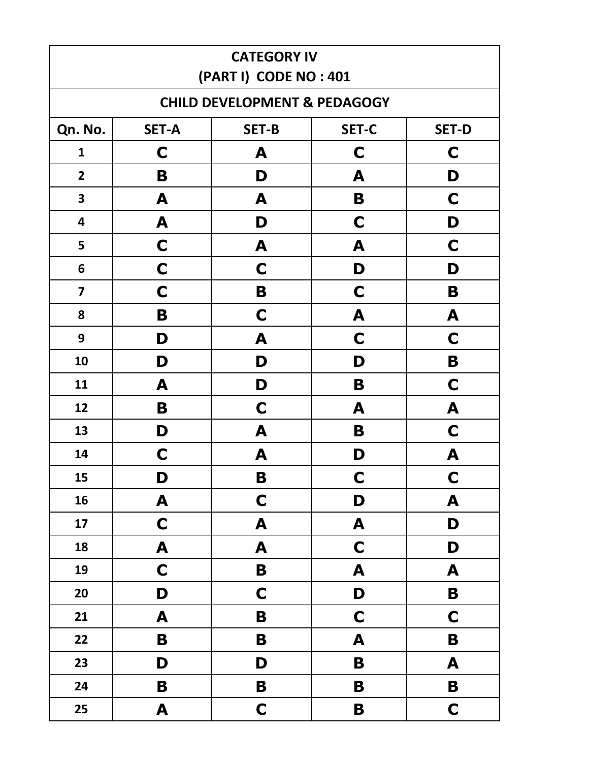| <b>CATEGORY IV</b><br>(PART I) CODE NO: 401 |                                                              |                                         |             |             |  |  |  |
|---------------------------------------------|--------------------------------------------------------------|-----------------------------------------|-------------|-------------|--|--|--|
|                                             |                                                              | <b>CHILD DEVELOPMENT &amp; PEDAGOGY</b> |             |             |  |  |  |
| Qn. No.                                     | <b>SET-B</b><br><b>SET-C</b><br><b>SET-A</b><br><b>SET-D</b> |                                         |             |             |  |  |  |
| $\mathbf{1}$                                | C                                                            | A                                       | C           | C           |  |  |  |
| $\overline{2}$                              | B                                                            | D                                       | A           | D           |  |  |  |
| $\overline{\mathbf{3}}$                     | A                                                            | A                                       | B           | C           |  |  |  |
| 4                                           | A                                                            | D                                       | C           | D           |  |  |  |
| 5                                           | $\mathbf C$                                                  | A                                       | A           | C           |  |  |  |
| $6\phantom{1}$                              | $\mathbf C$                                                  | C                                       | D           | D           |  |  |  |
| $\overline{\mathbf{z}}$                     | $\mathbf C$                                                  | B                                       | $\mathbf C$ | B           |  |  |  |
| 8                                           | B                                                            | C                                       | A           | A           |  |  |  |
| 9                                           | D                                                            | A                                       | $\mathbf C$ | C           |  |  |  |
| 10                                          | D                                                            | D                                       | D           | B           |  |  |  |
| 11                                          | A                                                            | D                                       | B           | $\mathbf C$ |  |  |  |
| 12                                          | B                                                            | $\mathbf C$                             | A           | A           |  |  |  |
| 13                                          | D                                                            | A                                       | B           | C           |  |  |  |
| 14                                          | C                                                            | A                                       | D           | A           |  |  |  |
| 15                                          | D                                                            | B                                       | C           | C           |  |  |  |
| 16                                          | A                                                            | $\mathbf C$                             | D           | A           |  |  |  |
| 17                                          | $\mathbf C$                                                  | A                                       | A           | D           |  |  |  |
| 18                                          | A                                                            | A                                       | $\mathbf C$ | D           |  |  |  |
| 19                                          | $\mathbf C$                                                  | B                                       | A           | A           |  |  |  |
| 20                                          | D                                                            | $\mathbf C$                             | D           | B           |  |  |  |
| 21                                          | A                                                            | B                                       | $\mathbf C$ | $\mathbf C$ |  |  |  |
| 22                                          | B                                                            | B                                       | A           | B           |  |  |  |
| 23                                          | D                                                            | D                                       | B           | A           |  |  |  |
| 24                                          | B                                                            | B                                       | B           | B           |  |  |  |
| 25                                          | A                                                            | $\mathbf C$                             | B           | $\mathbf C$ |  |  |  |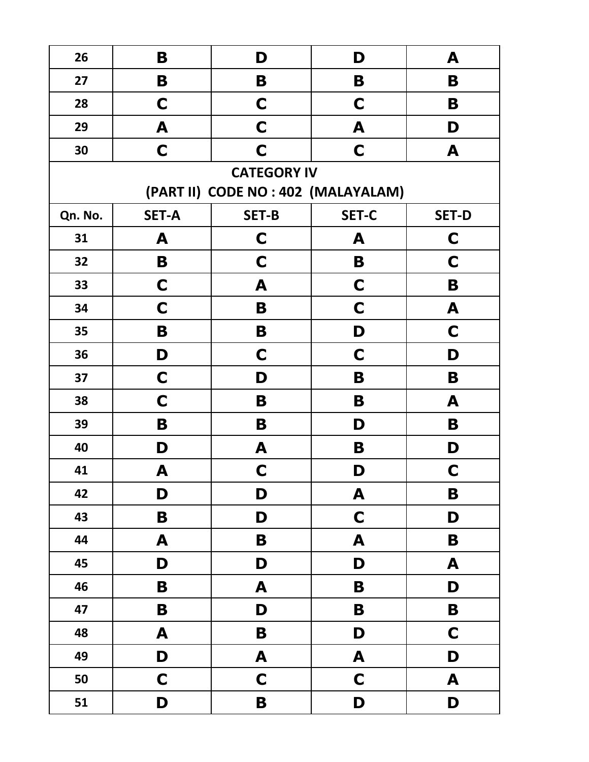| 26      | B            | D                                   | D            | A            |
|---------|--------------|-------------------------------------|--------------|--------------|
| 27      | B            | B                                   | B            | B            |
| 28      | C            | $\mathbf C$                         | $\mathbf C$  | B            |
| 29      | A            | $\mathbf C$                         | A            | D            |
| 30      | $\mathbf C$  | $\mathbf C$                         | $\mathbf C$  | A            |
|         |              | <b>CATEGORY IV</b>                  |              |              |
|         |              | (PART II) CODE NO : 402 (MALAYALAM) |              |              |
| Qn. No. | <b>SET-A</b> | <b>SET-B</b>                        | <b>SET-C</b> | <b>SET-D</b> |
| 31      | A            | $\mathbf C$                         | A            | C            |
| 32      | B            | $\mathbf C$                         | B            | C            |
| 33      | $\mathbf C$  | A                                   | $\mathbf C$  | B            |
| 34      | C            | B                                   | $\mathbf C$  | A            |
| 35      | B            | B                                   | D            | C            |
| 36      | D            | C                                   | $\mathbf C$  | D            |
| 37      | C            | D                                   | B            | B            |
| 38      | C            | B                                   | B            | A            |
| 39      | B            | B                                   | D            | B            |
| 40      | D            | A                                   | B            | D            |
| 41      | A            | $\mathbf C$                         | D            | $\mathbf C$  |
| 42      | D            | D                                   | A            | B            |
| 43      | B            | D                                   | $\mathbf C$  | D            |
| 44      | A            | $\mathbf B$                         | A            | B            |
| 45      | D            | D                                   | D            | A            |
| 46      | B            | A                                   | B            | D            |
| 47      | B            | D                                   | B            | B            |
| 48      | A            | $\mathbf B$                         | D            | $\mathbf C$  |
| 49      | D            | A                                   | A            | D            |
| 50      | $\mathbf C$  | $\mathbf C$                         | $\mathbf C$  | A            |
| 51      | D            | $\mathbf B$                         | D            | D            |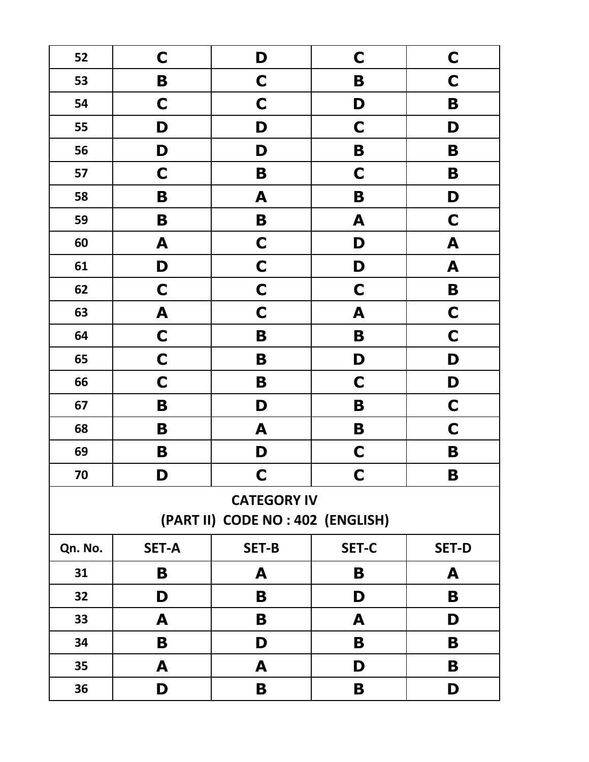| 52      | $\mathsf{C}$ | D                                                       | $\mathbf C$  | $\mathbf C$  |
|---------|--------------|---------------------------------------------------------|--------------|--------------|
| 53      | B            | $\mathbf C$                                             | B            | $\mathbf C$  |
| 54      | $\mathbf C$  | $\mathbf C$                                             | D            | B            |
| 55      | D            | D                                                       | $\mathbf C$  | D            |
| 56      | D            | D                                                       | B            | B            |
| 57      | $\mathbf C$  | B                                                       | $\mathbf C$  | B            |
| 58      | B            | A                                                       | B            | D            |
| 59      | B            | B                                                       | A            | $\mathbf C$  |
| 60      | A            | $\mathbf C$                                             | D            | A            |
| 61      | D            | $\mathbf C$                                             | D            | A            |
| 62      | $\mathbf C$  | $\mathbf C$                                             | $\mathbf C$  | B            |
| 63      | A            | $\mathbf C$                                             | A            | $\mathbf C$  |
| 64      | $\mathbf C$  | B                                                       | B            | $\mathbf C$  |
| 65      | $\mathbf C$  | B                                                       | D            | D            |
| 66      | $\mathbf C$  | B                                                       | $\mathbf C$  | D            |
| 67      | B            | D                                                       | B            | $\mathbf C$  |
| 68      | B            | A                                                       | B            | $\mathbf C$  |
| 69      | B            | D                                                       | $\mathbf C$  | B            |
| 70      | D            | $\mathbf C$                                             | $\mathbf C$  | B            |
|         |              | <b>CATEGORY IV</b><br>(PART II) CODE NO : 402 (ENGLISH) |              |              |
| Qn. No. | <b>SET-A</b> | <b>SET-B</b>                                            | <b>SET-C</b> | <b>SET-D</b> |
| 31      | Β            | A                                                       | B            | A            |
| 32      | D            | B                                                       | D            | B            |
| 33      | A            | B                                                       | A            | D            |
| 34      | Β            | D                                                       | B            | B            |
| 35      | A            | A                                                       | D            | B            |
| 36      | D            | B                                                       | B            | D            |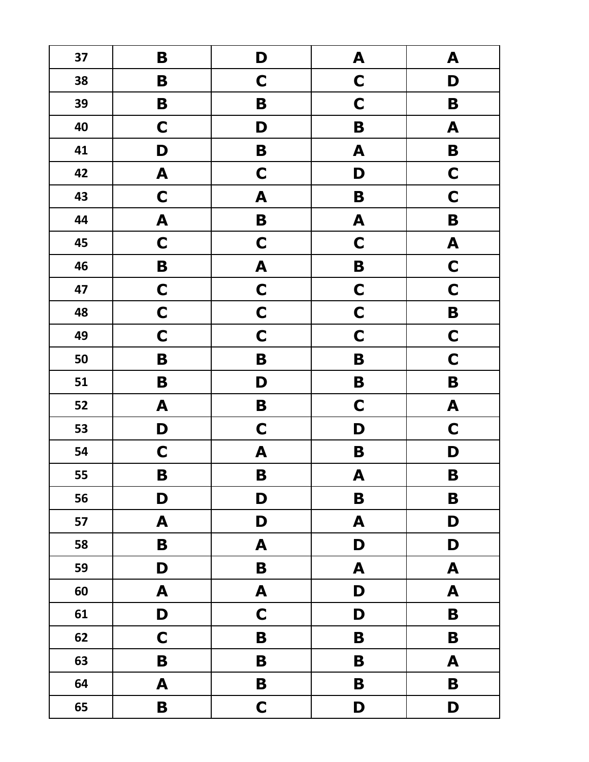| 37 | B                | D                         | A                | A                |
|----|------------------|---------------------------|------------------|------------------|
| 38 | B                | $\mathbf C$               | $\mathbf C$      | D                |
| 39 | B                | B                         | $\mathbf C$      | B                |
| 40 | $\mathbf C$      | D                         | $\mathbf B$      | A                |
| 41 | D                | B                         | A                | $\mathbf B$      |
| 42 | A                | $\mathbf C$               | D                | $\mathbf C$      |
| 43 | $\mathbf C$      | A                         | B                | $\mathbf C$      |
| 44 | $\boldsymbol{A}$ | B                         | A                | B                |
| 45 | $\mathbf C$      | $\mathbf C$               | $\mathbf C$      | A                |
| 46 | B                | A                         | B                | $\mathbf C$      |
| 47 | $\mathbf C$      | $\mathbf C$               | $\mathbf C$      | $\mathbf C$      |
| 48 | $\mathbf C$      | $\mathbf C$               | $\mathbf C$      | B                |
| 49 | $\mathbf C$      | $\mathbf C$               | $\mathbf C$      | $\mathbf C$      |
| 50 | B                | $\mathbf B$               | B                | $\mathbf C$      |
| 51 | B                | D                         | B                | B                |
| 52 | A                | $\mathbf B$               | $\mathbf C$      | A                |
| 53 | D                | $\mathbf C$               | D                | $\mathbf C$      |
| 54 | $\mathbf C$      | A                         | B                | D                |
| 55 | B                | B                         | $\boldsymbol{A}$ | B                |
| 56 | D                | D                         | $\mathbf B$      | $\mathbf B$      |
| 57 | A                | D                         | A                | D                |
| 58 | $\mathbf B$      | $\boldsymbol{\mathsf{A}}$ | D                | D                |
| 59 | D                | $\mathbf B$               | A                | $\mathbf{A}$     |
| 60 | $\boldsymbol{A}$ | $\boldsymbol{\mathsf{A}}$ | D                | $\mathbf{A}$     |
| 61 | D                | $\mathbf C$               | D                | $\mathbf B$      |
| 62 | $\mathbf C$      | $\mathbf B$               | B                | $\mathbf B$      |
| 63 | $\mathbf B$      | $\mathbf B$               | B                | $\boldsymbol{A}$ |
| 64 | $\boldsymbol{A}$ | $\mathbf B$               | B                | $\mathbf B$      |
| 65 | $\mathbf B$      | $\mathbf C$               | D                | D                |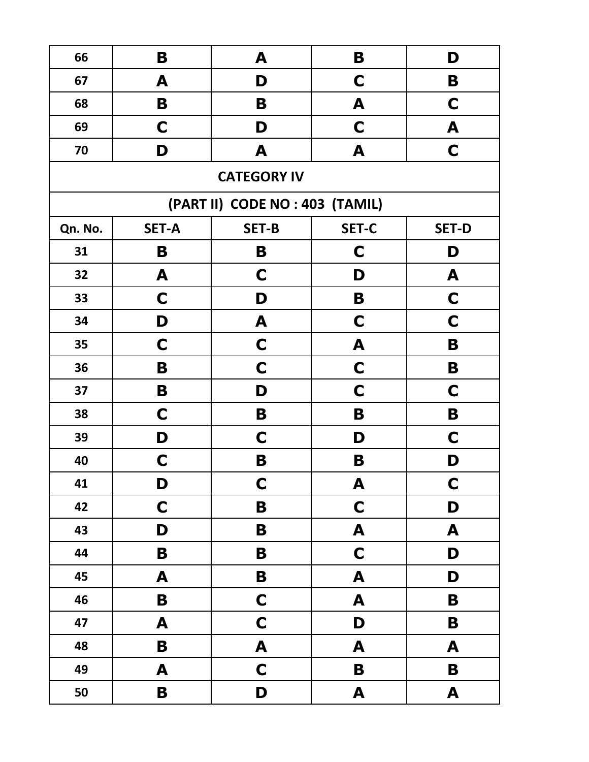| 66      | B            | A                               | B            | D            |
|---------|--------------|---------------------------------|--------------|--------------|
| 67      | A            | D                               | C            | B            |
| 68      | B            | B                               | A            | $\mathbf C$  |
| 69      | $\mathbf C$  | D                               | $\mathbf C$  | A            |
| 70      | D            | A                               | A            | $\mathbf C$  |
|         |              | <b>CATEGORY IV</b>              |              |              |
|         |              | (PART II) CODE NO : 403 (TAMIL) |              |              |
| Qn. No. | <b>SET-A</b> | <b>SET-B</b>                    | <b>SET-C</b> | <b>SET-D</b> |
| 31      | B            | B                               | $\mathbf C$  | D            |
| 32      | A            | C                               | D            | A            |
| 33      | C            | D                               | B            | C            |
| 34      | D            | A                               | $\mathbf C$  | $\mathbf C$  |
| 35      | C            | C                               | A            | B            |
| 36      | B            | $\mathbf C$                     | $\mathbf C$  | B            |
| 37      | B            | D                               | $\mathbf C$  | C            |
| 38      | C            | B                               | B            | B            |
| 39      | D            | C                               | D            | C            |
| 40      | C            | B                               | B            | D            |
| 41      | D            | $\mathbf C$                     | A            | $\mathbf C$  |
| 42      | $\mathbf C$  | B                               | $\mathbf C$  | D            |
| 43      | D            | B                               | A            | A            |
| 44      | B            | B                               | $\mathbf C$  | D            |
| 45      | A            | B                               | A            | D            |
| 46      | $\mathbf B$  | $\mathbf C$                     | A            | B            |
| 47      | A            | $\mathbf C$                     | D            | B            |
| 48      | $\mathbf B$  | $\pmb{\mathsf{A}}$              | A            | A            |
| 49      | A            | $\mathbf C$                     | B            | $\mathbf B$  |
| 50      | B            | D                               | A            | A            |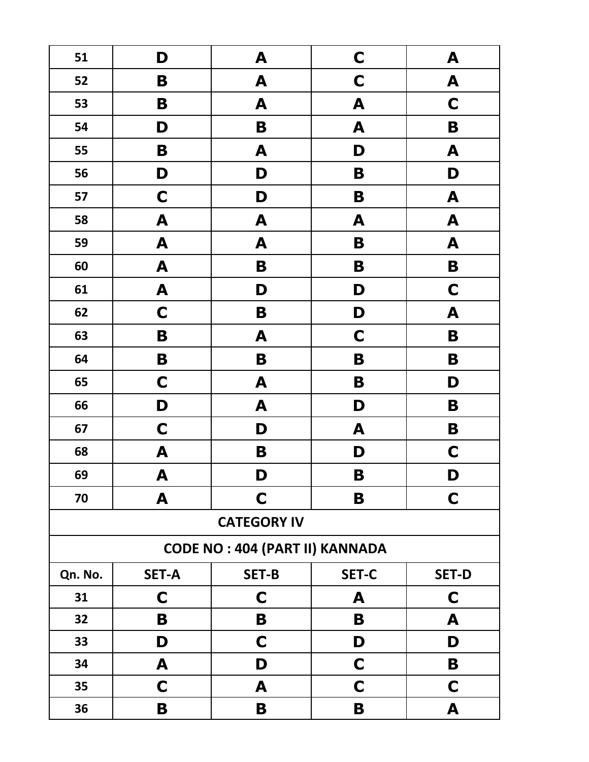| 51      | D                                     | A                  | $\mathbf C$  | A                |  |
|---------|---------------------------------------|--------------------|--------------|------------------|--|
| 52      | B                                     | A                  | $\mathbf C$  | $\boldsymbol{A}$ |  |
| 53      | B                                     | A                  | A            | $\mathbf C$      |  |
| 54      | D                                     | B                  | A            | B                |  |
| 55      | B                                     | A                  | D            | A                |  |
| 56      | D                                     | D                  | B            | D                |  |
| 57      | $\mathbf C$                           | D                  | B            | A                |  |
| 58      | A                                     | A                  | A            | $\boldsymbol{A}$ |  |
| 59      | $\boldsymbol{A}$                      | A                  | B            | $\boldsymbol{A}$ |  |
| 60      | $\boldsymbol{A}$                      | B                  | B            | $\mathbf B$      |  |
| 61      | $\boldsymbol{A}$                      | D                  | D            | $\mathbf C$      |  |
| 62      | $\mathbf C$                           | B                  | D            | A                |  |
| 63      | B                                     | A                  | $\mathbf C$  | B                |  |
| 64      | B                                     | B                  | B            | B                |  |
| 65      | $\mathbf C$                           | A                  | B            | D                |  |
| 66      | D                                     | A                  | D            | B                |  |
| 67      | $\mathbf C$                           | D                  | A            | B                |  |
| 68      | A                                     | B                  | D            | $\mathbf C$      |  |
| 69      | A                                     | D                  | B            | D                |  |
| 70      | A                                     | C                  | B            | $\mathbf C$      |  |
|         |                                       | <b>CATEGORY IV</b> |              |                  |  |
|         | <b>CODE NO: 404 (PART II) KANNADA</b> |                    |              |                  |  |
| Qn. No. | <b>SET-A</b>                          | <b>SET-B</b>       | <b>SET-C</b> | <b>SET-D</b>     |  |
| 31      | $\mathbf C$                           | $\mathbf C$        | A            | C                |  |
| 32      | B                                     | B                  | B            | A                |  |
| 33      | D                                     | $\mathbf C$        | D            | D                |  |
| 34      | A                                     | D                  | C            | B                |  |
| 35      | C                                     | A                  | C            | C                |  |
| 36      | Β                                     | B                  | B            | A                |  |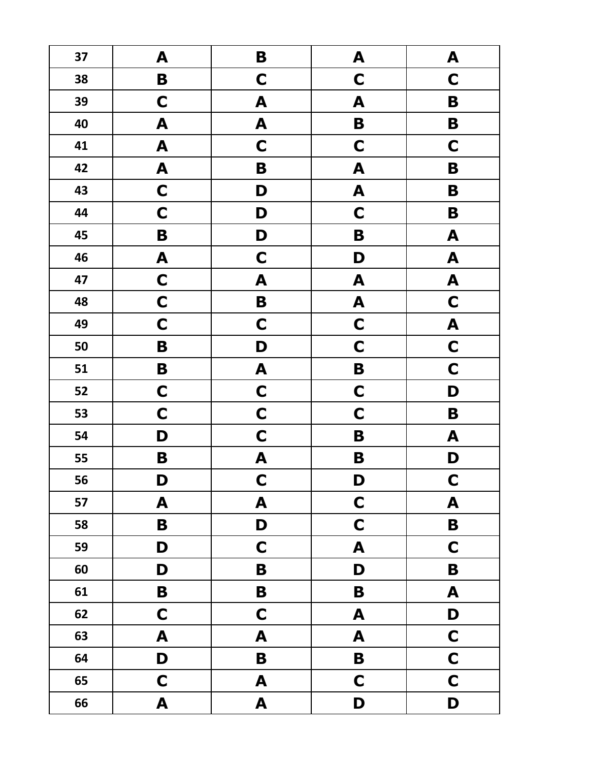| 37 | A                | $\mathbf B$      | A                         | A                         |
|----|------------------|------------------|---------------------------|---------------------------|
| 38 | $\mathbf B$      | $\mathbf C$      | $\mathbf C$               | $\mathbf C$               |
| 39 | $\mathbf C$      | A                | A                         | B                         |
| 40 | $\boldsymbol{A}$ | A                | B                         | B                         |
| 41 | $\blacktriangle$ | $\mathbf C$      | $\mathbf C$               | $\mathbf C$               |
| 42 | A                | $\mathbf B$      | A                         | $\mathbf B$               |
| 43 | $\mathbf C$      | D                | $\boldsymbol{\mathsf{A}}$ | B                         |
| 44 | $\mathbf C$      | D                | $\mathbf C$               | B                         |
| 45 | $\mathbf B$      | D                | $\mathbf B$               | A                         |
| 46 | A                | $\mathbf C$      | D                         | $\boldsymbol{A}$          |
| 47 | $\mathbf C$      | A                | $\boldsymbol{\mathsf{A}}$ | $\boldsymbol{\mathsf{A}}$ |
| 48 | $\mathbf C$      | $\mathbf B$      | A                         | $\mathbf C$               |
| 49 | $\mathbf C$      | $\mathbf C$      | $\mathbf C$               | A                         |
| 50 | $\mathbf B$      | D                | $\mathbf C$               | $\mathbf C$               |
| 51 | $\mathbf B$      | A                | B                         | $\mathbf C$               |
| 52 | $\mathbf C$      | $\mathbf C$      | $\mathbf C$               | D                         |
| 53 | $\mathbf C$      | $\mathbf C$      | $\mathbf C$               | $\mathbf B$               |
| 54 | D                | $\mathbf C$      | B                         | ${\bf A}$                 |
| 55 | B                | A                | B                         | D                         |
| 56 | D                | $\mathbf C$      | D                         | $\mathbf C$               |
| 57 | A                | $\blacktriangle$ | $\mathbf C$               | A                         |
| 58 | B                | D                | $\mathbf C$               | $\mathbf B$               |
| 59 | D                | $\mathbf C$      | A                         | $\mathbf C$               |
| 60 | D                | B                | D                         | $\mathbf B$               |
| 61 | B                | B                | B                         | $\boldsymbol{A}$          |
| 62 | $\mathbf C$      | $\mathbf C$      | A                         | D                         |
| 63 | A                | A                | A                         | $\mathbf C$               |
| 64 | D                | $\mathbf B$      | $\mathbf B$               | $\mathbf C$               |
| 65 | $\mathbf C$      | A                | $\mathbf C$               | $\mathbf C$               |
| 66 | A                | A                | D                         | D                         |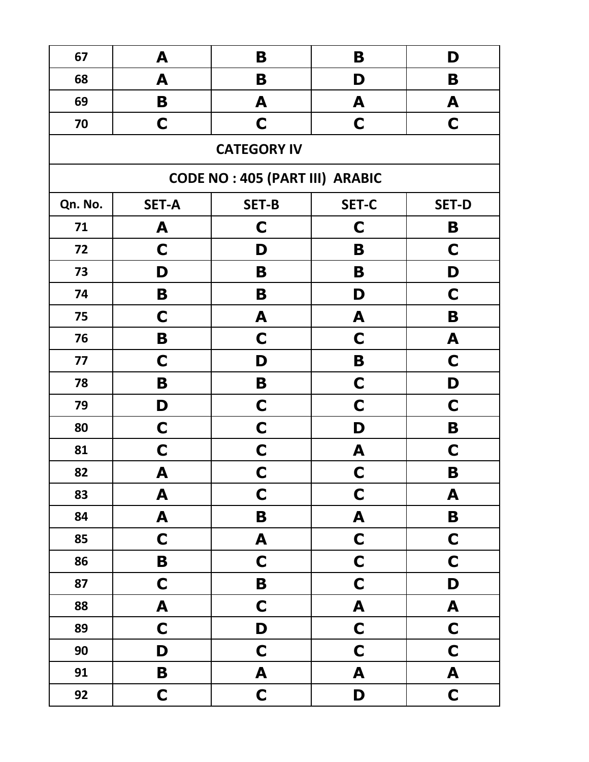| 67      | A            | B                                     | B                | D                |
|---------|--------------|---------------------------------------|------------------|------------------|
| 68      | A            | B                                     | D                | B                |
| 69      | B            | A                                     | A                | A                |
| 70      | C            | C                                     | $\mathbf C$      | $\mathbf C$      |
|         |              | <b>CATEGORY IV</b>                    |                  |                  |
|         |              | <b>CODE NO: 405 (PART III) ARABIC</b> |                  |                  |
| Qn. No. | <b>SET-A</b> | <b>SET-B</b>                          | <b>SET-C</b>     | <b>SET-D</b>     |
| 71      | A            | C                                     | $\mathbf C$      | B                |
| 72      | C            | D                                     | B                | $\mathbf C$      |
| 73      | D            | B                                     | B                | D                |
| 74      | B            | B                                     | D                | $\mathbf C$      |
| 75      | C            | A                                     | A                | B                |
| 76      | B            | C                                     | C                | A                |
| 77      | C            | D                                     | B                | C                |
| 78      | B            | B                                     | $\mathbf C$      | D                |
| 79      | D            | C                                     | $\mathbf C$      | C                |
| 80      | C            | $\mathbf C$                           | D                | B                |
| 81      | C            | $\mathbf C$                           | A                | C                |
| 82      | A            | C                                     | C                | B                |
| 83      | A            | $\mathbf C$                           | $\mathbf C$      | A                |
| 84      | A            | B                                     | A                | $\mathbf B$      |
| 85      | $\mathbf C$  | A                                     | $\mathbf C$      | $\mathbf C$      |
| 86      | B            | $\mathbf C$                           | $\mathbf C$      | $\mathbf C$      |
| 87      | $\mathbf C$  | $\mathbf B$                           | $\mathbf C$      | D                |
| 88      | A            | $\mathbf C$                           | $\boldsymbol{A}$ | $\boldsymbol{A}$ |
| 89      | $\mathbf C$  | D                                     | $\mathbf C$      | $\mathbf C$      |
| 90      | D            | $\mathbf C$                           | $\mathbf C$      | $\mathbf C$      |
| 91      | $\mathbf B$  | A                                     | A                | A                |
| 92      | $\mathbf C$  | $\mathbf C$                           | D                | $\mathbf C$      |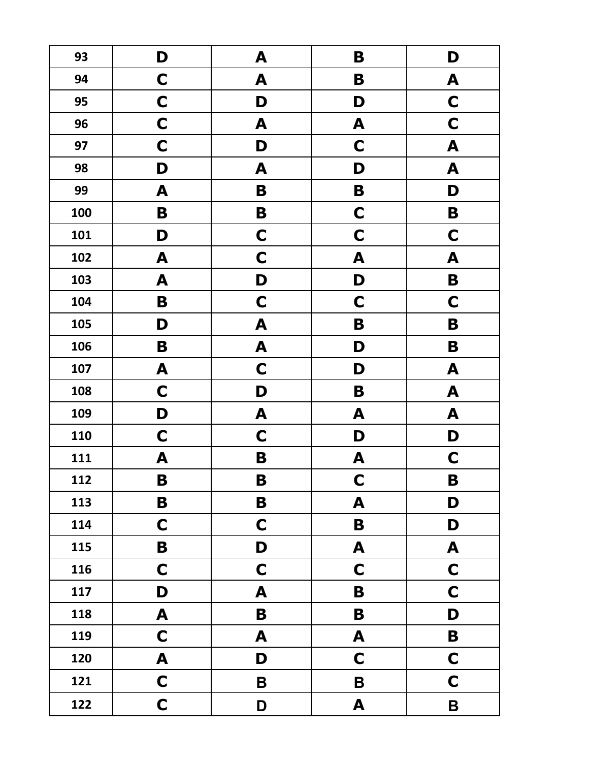| 93  | D                | A           | B           | D                |
|-----|------------------|-------------|-------------|------------------|
| 94  | $\mathbf C$      | A           | B           | A                |
| 95  | $\mathbf C$      | D           | D           | $\mathbf C$      |
| 96  | $\mathbf C$      | A           | A           | $\mathbf C$      |
| 97  | $\mathbf C$      | D           | $\mathbf C$ | $\boldsymbol{A}$ |
| 98  | D                | A           | D           | $\boldsymbol{A}$ |
| 99  | A                | $\mathbf B$ | B           | D                |
| 100 | B                | B           | $\mathbf C$ | B                |
| 101 | D                | $\mathbf C$ | $\mathbf C$ | $\mathbf C$      |
| 102 | A                | $\mathbf C$ | A           | A                |
| 103 | A                | D           | D           | B                |
| 104 | B                | $\mathbf C$ | $\mathbf C$ | $\mathbf C$      |
| 105 | D                | A           | B           | B                |
| 106 | B                | A           | D           | B                |
| 107 | A                | $\mathbf C$ | D           | A                |
| 108 | $\mathbf C$      | D           | B           | A                |
| 109 | D                | A           | A           | A                |
| 110 | $\mathbf C$      | $\mathbf C$ | D           | D                |
| 111 | A                | B           | A           | $\mathbf C$      |
| 112 | B                | B           | C           | B                |
| 113 | $\mathbf B$      | B           | A           | D                |
| 114 | C                | $\mathbf C$ | B           | D                |
| 115 | B                | D           | A           | A                |
| 116 | $\mathbf C$      | $\mathbf C$ | $\mathbf C$ | $\mathbf C$      |
| 117 | D                | A           | B           | $\mathbf C$      |
| 118 | A                | B           | B           | D                |
| 119 | $\mathbf C$      | A           | A           | B                |
| 120 | $\boldsymbol{A}$ | D           | $\mathbf C$ | $\mathbf C$      |
| 121 | $\mathbf C$      | $\mathsf B$ | $\mathsf B$ | $\mathbf C$      |
| 122 | $\mathbf C$      | D           | A           | $\mathbf B$      |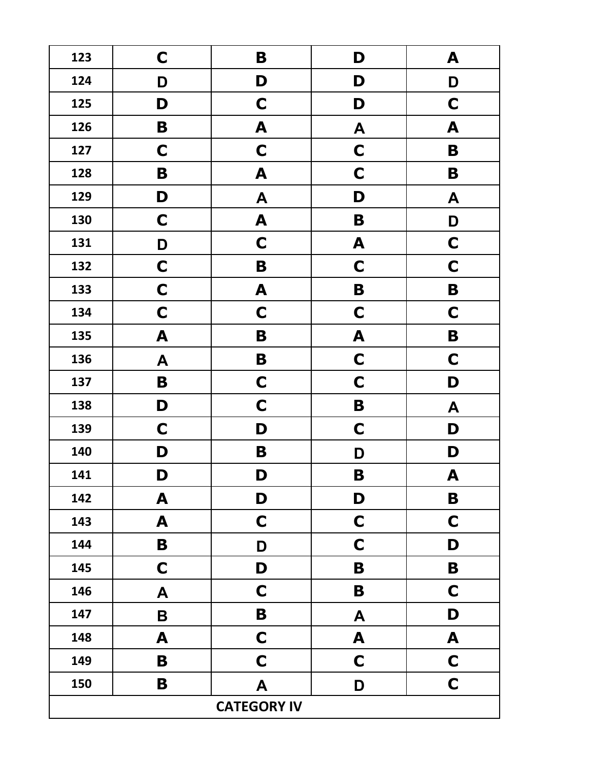| 123 | C           | B                  | D           | A           |
|-----|-------------|--------------------|-------------|-------------|
| 124 | D           | D                  | D           | D           |
| 125 | D           | $\mathbf C$        | D           | $\mathbf C$ |
| 126 | B           | A                  | A           | A           |
| 127 | $\mathbf C$ | $\mathbf C$        | $\mathbf C$ | B           |
| 128 | B           | A                  | $\mathbf C$ | B           |
| 129 | D           | A                  | D           | A           |
| 130 | $\mathbf C$ | A                  | B           | D           |
| 131 | D           | $\mathbf C$        | A           | $\mathbf C$ |
| 132 | $\mathbf C$ | B                  | $\mathbf C$ | $\mathbf C$ |
| 133 | $\mathbf C$ | A                  | B           | B           |
| 134 | $\mathbf C$ | $\mathbf C$        | $\mathbf C$ | $\mathbf C$ |
| 135 | A           | B                  | A           | B           |
| 136 | A           | B                  | $\mathbf C$ | $\mathbf C$ |
| 137 | B           | $\mathbf C$        | $\mathbf C$ | D           |
| 138 | D           | $\mathbf C$        | B           | A           |
| 139 | $\mathbf C$ | D                  | $\mathbf C$ | D           |
| 140 | D           | B                  | D           | D           |
| 141 | D           | D                  | B           | A           |
| 142 | A           | D                  | D           | $\mathbf B$ |
| 143 | A           | $\mathbf C$        | $\mathbf C$ | $\mathbf C$ |
| 144 | B           | D                  | $\mathbf C$ | D           |
| 145 | $\mathbf C$ | D                  | B           | B           |
| 146 | A           | $\mathbf C$        | B           | $\mathbf C$ |
| 147 | B           | B                  | A           | D           |
| 148 | A           | $\mathbf C$        | A           | A           |
| 149 | B           | $\mathbf C$        | $\mathbf C$ | $\mathbf C$ |
| 150 | B           | A                  | D           | $\mathbf C$ |
|     |             | <b>CATEGORY IV</b> |             |             |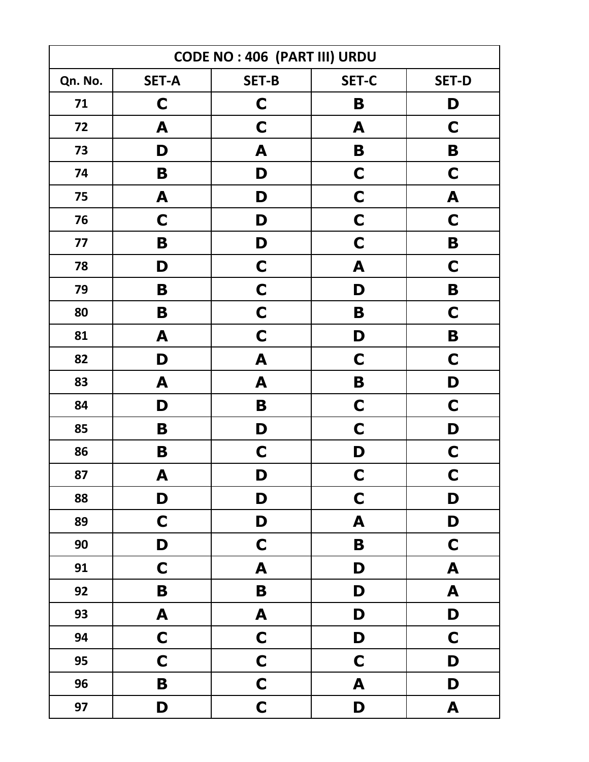| <b>CODE NO: 406 (PART III) URDU</b> |                  |                  |             |                  |
|-------------------------------------|------------------|------------------|-------------|------------------|
| Qn. No.                             | <b>SET-A</b>     | <b>SET-B</b>     | SET-C       | <b>SET-D</b>     |
| 71                                  | $\mathbf C$      | $\mathbf C$      | B           | D                |
| 72                                  | A                | C                | A           | C                |
| 73                                  | D                | A                | B           | B                |
| 74                                  | B                | D                | $\mathbf C$ | C                |
| 75                                  | A                | D                | $\mathbf C$ | A                |
| 76                                  | $\mathbf C$      | D                | $\mathbf C$ | C                |
| 77                                  | B                | D                | $\mathbf C$ | B                |
| 78                                  | D                | C                | A           | C                |
| 79                                  | B                | $\mathbf C$      | D           | B                |
| 80                                  | B                | $\mathbf C$      | B           | $\mathbf C$      |
| 81                                  | A                | $\mathbf C$      | D           | B                |
| 82                                  | D                | A                | $\mathbf C$ | $\mathbf C$      |
| 83                                  | A                | A                | B           | D                |
| 84                                  | D                | B                | $\mathbf C$ | $\mathbf C$      |
| 85                                  | B                | D                | $\mathbf C$ | D                |
| 86                                  | B                | $\mathbf C$      | D           | $\mathbf C$      |
| 87                                  | A                | D                | $\mathbf C$ | $\mathbf C$      |
| 88                                  | D                | D                | $\mathbf C$ | D                |
| 89                                  | $\mathbf C$      | D                | A           | D                |
| 90                                  | D                | $\mathbf C$      | B           | $\mathbf C$      |
| 91                                  | $\mathbf C$      | A                | D           | $\mathbf{A}$     |
| 92                                  | B                | $\mathbf B$      | D           | $\mathbf{A}$     |
| 93                                  | $\boldsymbol{A}$ | $\blacktriangle$ | D           | D                |
| 94                                  | $\mathbf C$      | $\mathbf C$      | D           | $\mathbf C$      |
| 95                                  | $\mathbf C$      | $\mathbf C$      | $\mathbf C$ | D                |
| 96                                  | $\mathbf B$      | $\mathbf C$      | A           | D                |
| 97                                  | D                | $\mathbf C$      | D           | $\blacktriangle$ |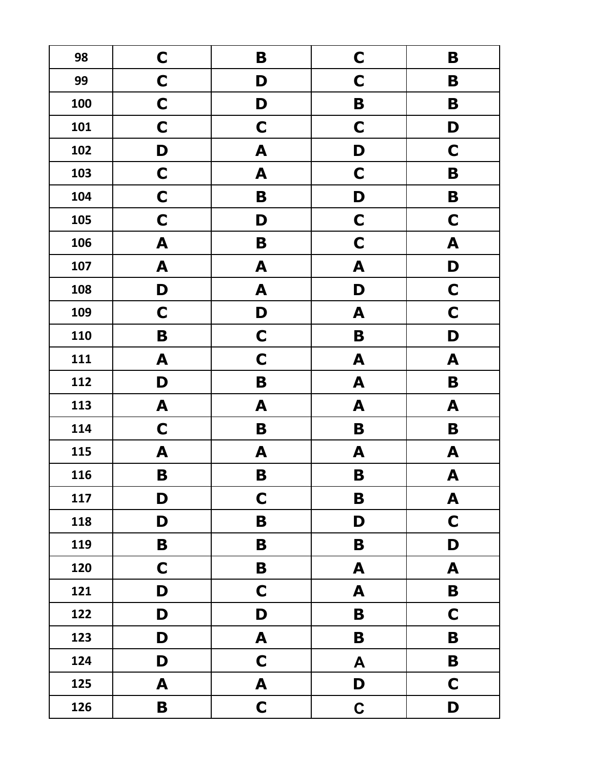| 98  | C           | B                | $\mathbf C$ | B                |
|-----|-------------|------------------|-------------|------------------|
| 99  | $\mathbf C$ | D                | $\mathbf C$ | B                |
| 100 | $\mathbf C$ | D                | B           | B                |
| 101 | C           | $\mathbf C$      | $\mathbf C$ | D                |
| 102 | D           | A                | D           | C                |
| 103 | $\mathbf C$ | A                | $\mathbf C$ | B                |
| 104 | $\mathbf C$ | B                | D           | B                |
| 105 | $\mathbf C$ | D                | $\mathbf C$ | $\mathbf C$      |
| 106 | A           | B                | $\mathbf C$ | A                |
| 107 | A           | A                | A           | D                |
| 108 | D           | A                | D           | $\mathbf C$      |
| 109 | $\mathbf C$ | D                | A           | $\mathbf C$      |
| 110 | B           | $\mathbf C$      | B           | D                |
| 111 | A           | $\mathbf C$      | A           | A                |
| 112 | D           | B                | A           | B                |
| 113 | A           | A                | A           | A                |
| 114 | $\mathbf C$ | B                | B           | B                |
| 115 | A           | A                | A           | A                |
| 116 | B           | B                | B           | A                |
| 117 | D           | $\mathbf C$      | B           | $\blacktriangle$ |
| 118 | D           | $\mathbf B$      | D           | $\mathbf C$      |
| 119 | B           | B                | B           | D                |
| 120 | $\mathbf C$ | B                | A           | $\blacktriangle$ |
| 121 | D           | $\mathbf C$      | A           | $\mathbf B$      |
| 122 | D           | D                | B           | $\mathbf C$      |
| 123 | D           | $\blacktriangle$ | B           | B                |
| 124 | D           | $\mathbf C$      | A           | $\mathbf B$      |
| 125 | A           | A                | D           | $\mathbf C$      |
| 126 | B           | $\mathbf C$      | $\mathbf C$ | D                |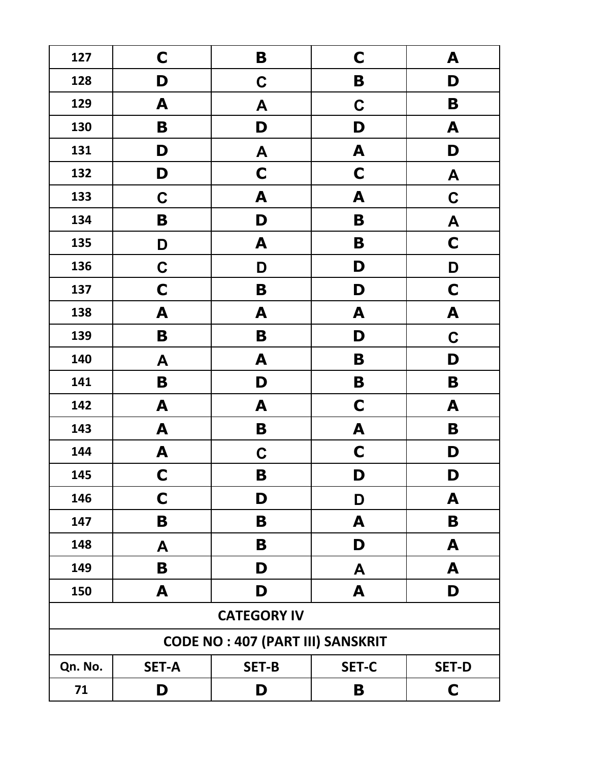| 127     | $\mathbf C$        | B                                       | $\mathbf C$  | A            |  |
|---------|--------------------|-----------------------------------------|--------------|--------------|--|
| 128     | D                  | $\mathbf C$                             | B            | D            |  |
| 129     | A                  | A                                       | $\mathbf C$  | B            |  |
| 130     | B                  | D                                       | D            | A            |  |
| 131     | D                  | A                                       | A            | D            |  |
| 132     | D                  | C                                       | C            | A            |  |
| 133     | $\mathbf C$        | A                                       | A            | $\mathbf C$  |  |
| 134     | B                  | D                                       | B            | A            |  |
| 135     | D                  | A                                       | B            | $\mathbf C$  |  |
| 136     | C                  | D                                       | D            | D            |  |
| 137     | C                  | B                                       | D            | $\mathsf{C}$ |  |
| 138     | A                  | A                                       | A            | A            |  |
| 139     | B                  | B                                       | D            | $\mathbf C$  |  |
| 140     | A                  | A                                       | B            | D            |  |
| 141     | B                  | D                                       | B            | B            |  |
| 142     | A                  | A                                       | $\mathbf C$  | A            |  |
| 143     | A                  | B                                       | A            | B            |  |
| 144     | A                  | $\mathbf C$                             | $\mathbf C$  | D            |  |
| 145     | $\mathbf C$        | B                                       | D            | D            |  |
| 146     | $\mathbf C$        | D                                       | D            | A            |  |
| 147     | B                  | B                                       | A            | B            |  |
| 148     | A                  | B                                       | D            | A            |  |
| 149     | B                  | D                                       | A            | A            |  |
| 150     | A                  | D                                       | A            | D            |  |
|         | <b>CATEGORY IV</b> |                                         |              |              |  |
|         |                    | <b>CODE NO: 407 (PART III) SANSKRIT</b> |              |              |  |
| Qn. No. | <b>SET-A</b>       | <b>SET-B</b>                            | <b>SET-C</b> | <b>SET-D</b> |  |
| 71      | D                  | D                                       | B            | $\mathbf C$  |  |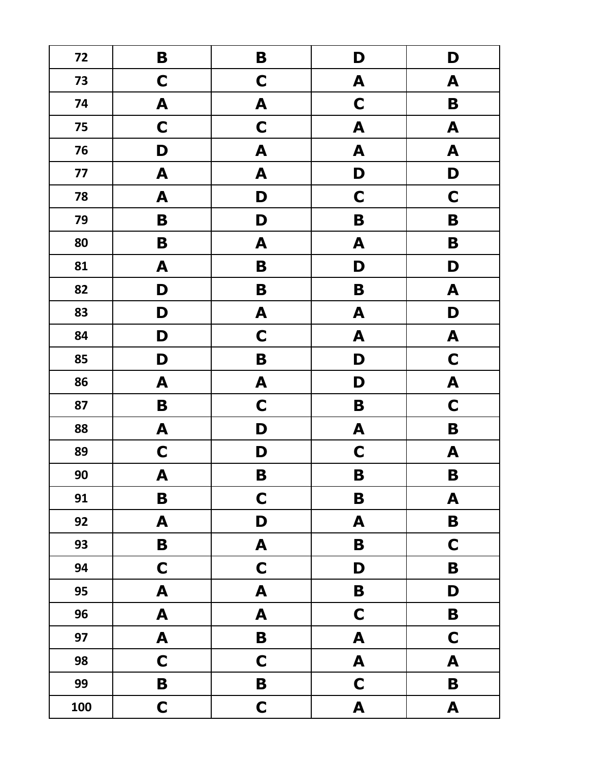| 72  | B                | B                         | D                | D                |
|-----|------------------|---------------------------|------------------|------------------|
| 73  | $\mathbf C$      | $\mathbf C$               | A                | A                |
| 74  | $\boldsymbol{A}$ | A                         | $\mathbf C$      | $\mathbf B$      |
| 75  | $\mathbf C$      | $\mathbf C$               | A                | $\boldsymbol{A}$ |
| 76  | D                | A                         | A                | $\boldsymbol{A}$ |
| 77  | A                | A                         | D                | D                |
| 78  | A                | D                         | $\mathbf C$      | $\mathbf C$      |
| 79  | B                | D                         | B                | B                |
| 80  | B                | A                         | A                | B                |
| 81  | A                | B                         | D                | D                |
| 82  | D                | B                         | B                | A                |
| 83  | D                | A                         | A                | D                |
| 84  | D                | $\mathbf C$               | A                | A                |
| 85  | D                | B                         | D                | $\mathbf C$      |
| 86  | A                | A                         | D                | A                |
| 87  | B                | $\mathbf C$               | B                | $\mathbf C$      |
| 88  | A                | D                         | A                | B                |
| 89  | $\mathbf C$      | D                         | $\mathbf C$      | A                |
| 90  | A                | B                         | B                | B                |
| 91  | $\mathbf B$      | $\mathbf C$               | B                | $\mathbf{A}$     |
| 92  | A                | D                         | A                | $\mathbf B$      |
| 93  | $\mathbf B$      | $\boldsymbol{\mathsf{A}}$ | B                | $\mathbf C$      |
| 94  | $\mathbf C$      | $\mathbf C$               | D                | $\mathbf B$      |
| 95  | $\boldsymbol{A}$ | $\boldsymbol{A}$          | $\mathbf B$      | D                |
| 96  | $\boldsymbol{A}$ | $\blacktriangle$          | $\mathbf C$      | $\mathbf B$      |
| 97  | $\boldsymbol{A}$ | $\mathbf B$               | A                | $\mathbf C$      |
| 98  | $\mathbf C$      | $\mathbf C$               | $\blacktriangle$ | $\blacktriangle$ |
| 99  | $\mathbf B$      | $\mathbf B$               | $\mathbf C$      | $\mathbf B$      |
| 100 | $\mathbf C$      | $\mathbf C$               | $\blacktriangle$ | $\mathbf{A}$     |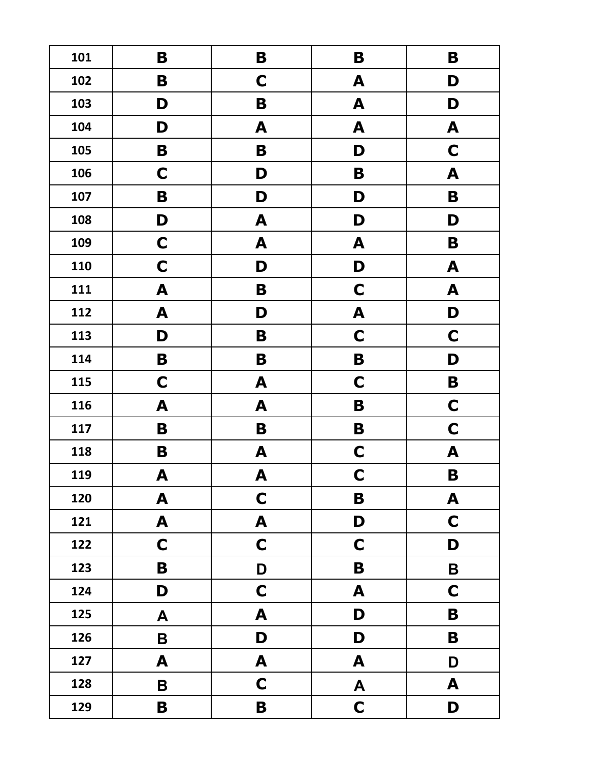| 101 | B                         | B                | B                | B                |
|-----|---------------------------|------------------|------------------|------------------|
| 102 | B                         | $\mathbf C$      | A                | D                |
| 103 | D                         | B                | A                | D                |
| 104 | D                         | A                | A                | A                |
| 105 | B                         | B                | D                | $\mathbf C$      |
| 106 | $\mathbf C$               | D                | B                | A                |
| 107 | B                         | D                | D                | B                |
| 108 | D                         | A                | D                | D                |
| 109 | $\mathbf C$               | A                | A                | B                |
| 110 | $\mathbf C$               | D                | D                | A                |
| 111 | A                         | B                | $\mathbf C$      | A                |
| 112 | A                         | D                | A                | D                |
| 113 | D                         | B                | $\mathbf C$      | $\mathbf C$      |
| 114 | B                         | B                | B                | D                |
| 115 | $\mathbf C$               | A                | $\mathbf C$      | B                |
| 116 | A                         | A                | B                | $\mathbf C$      |
| 117 | B                         | B                | B                | $\mathbf C$      |
| 118 | B                         | A                | $\mathbf C$      | A                |
| 119 | A                         | A                | $\mathbf C$      | B                |
| 120 | $\blacktriangle$          | $\mathbf C$      | B                | $\blacktriangle$ |
| 121 | A                         | A                | D                | $\mathbf C$      |
| 122 | $\mathbf C$               | $\mathbf C$      | $\mathbf C$      | D                |
| 123 | B                         | $\mathbf{D}%$    | B                | $\mathbf B$      |
| 124 | D                         | $\mathbf C$      | A                | $\mathbf C$      |
| 125 | $\boldsymbol{\mathsf{A}}$ | $\blacktriangle$ | D                | B                |
| 126 | $\mathsf B$               | D                | D                | B                |
| 127 | A                         | $\blacktriangle$ | A                | D                |
| 128 | B                         | $\mathbf C$      | $\blacktriangle$ | A                |
| 129 | B                         | B                | $\mathbf C$      | D                |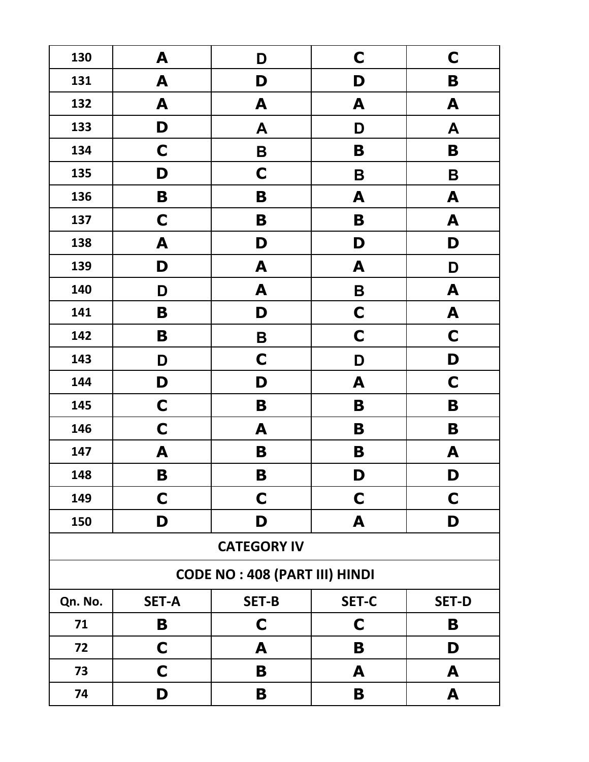| 130                                  | A            | D            | $\mathbf C$  | $\mathbf C$  |  |
|--------------------------------------|--------------|--------------|--------------|--------------|--|
| 131                                  | A            | D            | D            | B            |  |
| 132                                  | A            | A            | A            | A            |  |
| 133                                  | D            | A            | D            | A            |  |
| 134                                  | $\mathsf{C}$ | B            | B            | B            |  |
| 135                                  | D            | C            | B            | B            |  |
| 136                                  | B            | B            | A            | A            |  |
| 137                                  | C            | B            | B            | A            |  |
| 138                                  | A            | D            | D            | D            |  |
| 139                                  | D            | A            | A            | D            |  |
| 140                                  | D            | A            | B            | A            |  |
| 141                                  | B            | D            | $\mathbf C$  | A            |  |
| 142                                  | B            | B            | $\mathbf C$  | $\mathbf C$  |  |
| 143                                  | D            | $\mathbf C$  | D            | D            |  |
| 144                                  | D            | D            | A            | $\mathbf C$  |  |
| 145                                  | $\mathbf C$  | B            | B            | B            |  |
| 146                                  | $\mathbf C$  | A            | B            | B            |  |
| 147                                  | A            | B            | B            | A            |  |
| 148                                  | B            | B            | D            | D            |  |
| 149                                  | C            | $\mathbf C$  | $\mathbf C$  | C            |  |
| 150                                  | D            | D            | A            | D            |  |
| <b>CATEGORY IV</b>                   |              |              |              |              |  |
| <b>CODE NO: 408 (PART III) HINDI</b> |              |              |              |              |  |
| Qn. No.                              | <b>SET-A</b> | <b>SET-B</b> | <b>SET-C</b> | <b>SET-D</b> |  |
| 71                                   | B            | C            | $\mathbf C$  | B            |  |
| 72                                   | $\mathbf C$  | A            | B            | D            |  |
| 73                                   | C            | B            | A            | A            |  |
| 74                                   | D            | B            | B            | A            |  |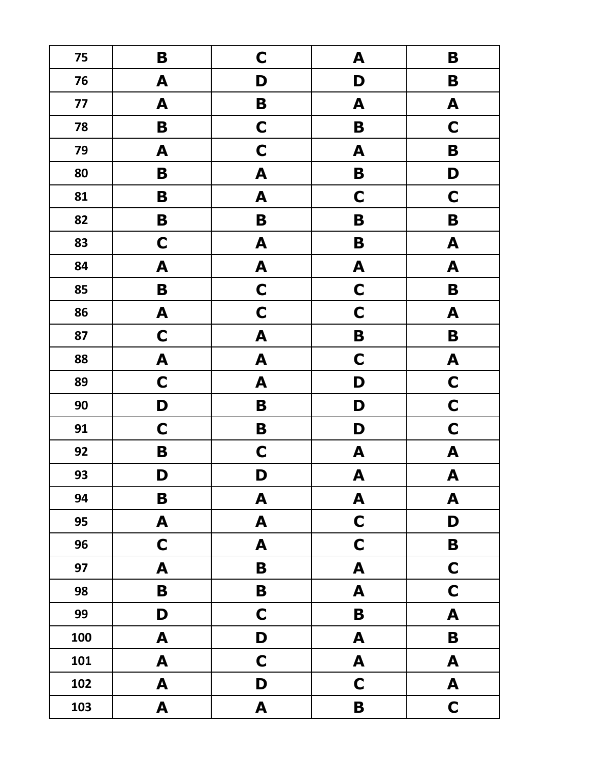| 75  | B                         | $\mathbf C$      | A                         | B                         |
|-----|---------------------------|------------------|---------------------------|---------------------------|
| 76  | A                         | D                | D                         | B                         |
| 77  | A                         | B                | A                         | A                         |
| 78  | B                         | C                | B                         | $\mathbf C$               |
| 79  | A                         | $\mathbf C$      | A                         | B                         |
| 80  | B                         | A                | B                         | D                         |
| 81  | B                         | A                | $\mathbf C$               | $\mathbf C$               |
| 82  | B                         | B                | B                         | B                         |
| 83  | $\mathbf C$               | A                | B                         | A                         |
| 84  | A                         | A                | A                         | A                         |
| 85  | B                         | $\mathbf C$      | $\mathbf C$               | B                         |
| 86  | A                         | $\mathbf C$      | $\mathbf C$               | A                         |
| 87  | $\mathbf C$               | A                | B                         | B                         |
| 88  | A                         | A                | $\mathbf C$               | A                         |
| 89  | $\mathbf C$               | A                | D                         | $\mathbf C$               |
| 90  | D                         | B                | D                         | $\mathbf C$               |
| 91  | $\mathbf C$               | B                | D                         | $\mathbf C$               |
| 92  | B                         | $\mathbf C$      | A                         | $\boldsymbol{A}$          |
| 93  | D                         | D                | $\boldsymbol{\mathsf{A}}$ | $\boldsymbol{\mathsf{A}}$ |
| 94  | B                         | A                | A                         | $\blacktriangle$          |
| 95  | $\boldsymbol{\mathsf{A}}$ | $\blacktriangle$ | $\mathbf C$               | D                         |
| 96  | $\mathbf C$               | A                | $\mathbf C$               | $\mathbf B$               |
| 97  | $\boldsymbol{A}$          | $\mathbf B$      | A                         | $\mathbf C$               |
| 98  | B                         | $\mathbf B$      | A                         | $\mathbf C$               |
| 99  | D                         | $\mathbf C$      | $\mathbf B$               | $\mathbf{A}$              |
| 100 | A                         | D                | A                         | $\mathbf B$               |
| 101 | $\boldsymbol{A}$          | $\mathbf C$      | $\blacktriangle$          | $\boldsymbol{A}$          |
| 102 | A                         | D                | $\mathbf C$               | A                         |
| 103 | A                         | $\mathbf{A}$     | B                         | $\mathbf C$               |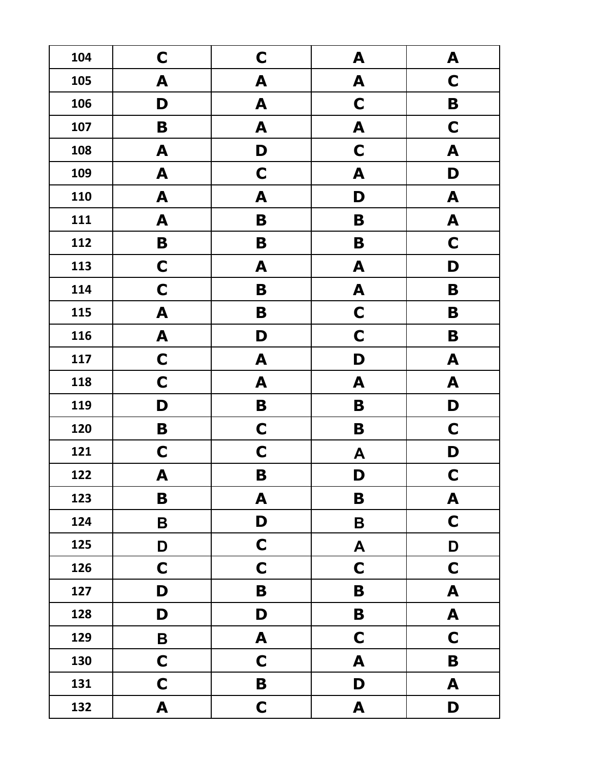| 104 | C           | C                | A                | A                |
|-----|-------------|------------------|------------------|------------------|
| 105 | A           | A                | A                | $\mathbf C$      |
| 106 | D           | A                | $\mathbf C$      | B                |
| 107 | B           | A                | A                | $\mathbf C$      |
| 108 | A           | D                | $\mathbf C$      | A                |
| 109 | A           | $\mathbf C$      | A                | D                |
| 110 | A           | A                | D                | A                |
| 111 | A           | B                | B                | A                |
| 112 | B           | B                | B                | $\mathbf C$      |
| 113 | $\mathbf C$ | A                | A                | D                |
| 114 | $\mathbf C$ | B                | A                | B                |
| 115 | A           | B                | $\mathbf C$      | B                |
| 116 | A           | D                | $\mathbf C$      | B                |
| 117 | $\mathbf C$ | A                | D                | A                |
| 118 | $\mathbf C$ | A                | A                | A                |
| 119 | D           | B                | B                | D                |
| 120 | B           | $\mathbf C$      | B                | $\mathbf C$      |
| 121 | $\mathbf C$ | $\mathbf C$      | A                | D                |
| 122 | A           | B                | D                | $\mathbf C$      |
| 123 | B           | A                | B                | $\blacktriangle$ |
| 124 | B           | D                | $\pmb B$         | $\mathbf C$      |
| 125 | D           | $\mathbf C$      | $\boldsymbol{A}$ | D                |
| 126 | $\mathbf C$ | $\mathbf C$      | $\mathbf C$      | $\mathbf C$      |
| 127 | D           | $\mathbf B$      | B                | $\mathbf{A}$     |
| 128 | D           | D                | $\mathbf B$      | $\mathbf{A}$     |
| 129 | $\mathbf B$ | $\blacktriangle$ | $\mathbf C$      | $\mathbf C$      |
| 130 | $\mathbf C$ | $\mathbf C$      | A                | $\mathbf B$      |
| 131 | $\mathbf C$ | B                | D                | A                |
| 132 | A           | $\mathbf C$      | A                | D                |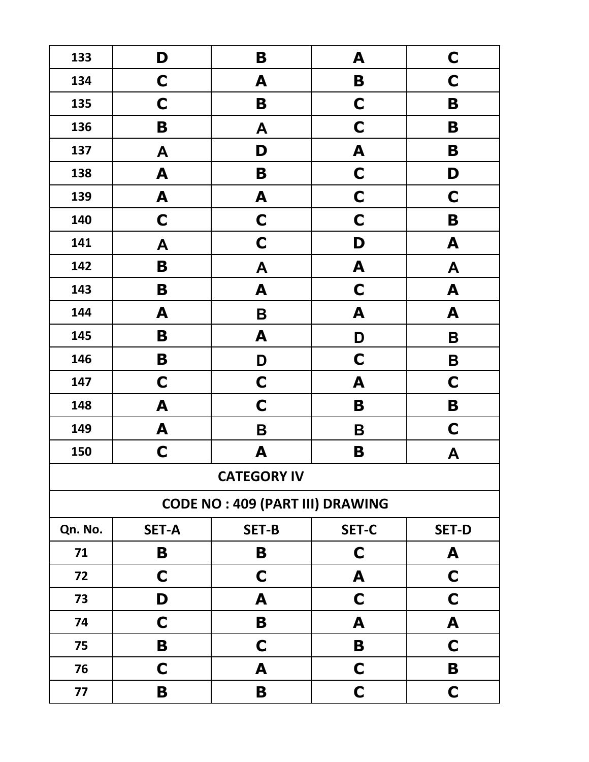| 133     | D            | B                                      | A            | $\mathbf C$  |
|---------|--------------|----------------------------------------|--------------|--------------|
| 134     | C            | A                                      | B            | C            |
| 135     | C            | B                                      | $\mathbf C$  | B            |
| 136     | B            | A                                      | C            | B            |
| 137     | A            | D                                      | A            | B            |
| 138     | A            | B                                      | C            | D            |
| 139     | A            | A                                      | $\mathbf C$  | $\mathbf C$  |
| 140     | $\mathbf C$  | $\mathbf C$                            | $\mathbf C$  | B            |
| 141     | A            | C                                      | D            | A            |
| 142     | B            | A                                      | A            | A            |
| 143     | B            | A                                      | $\mathbf C$  | A            |
| 144     | A            | B                                      | A            | A            |
| 145     | B            | A                                      | D            | B            |
| 146     | B            | D                                      | $\mathbf C$  | B            |
| 147     | $\mathbf C$  | $\mathbf C$                            | A            | $\mathbf C$  |
| 148     | A            | C                                      | B            | B            |
| 149     | A            | B                                      | B            | $\mathbf C$  |
| 150     | $\mathbf C$  | A                                      | B            | A            |
|         |              | <b>CATEGORY IV</b>                     |              |              |
|         |              | <b>CODE NO: 409 (PART III) DRAWING</b> |              |              |
| Qn. No. | <b>SET-A</b> | <b>SET-B</b>                           | <b>SET-C</b> | <b>SET-D</b> |
| 71      | B            | B                                      | C            | A            |
| 72      | C            | C                                      | A            | C            |
| 73      | D            | A                                      | $\mathbf C$  | C            |
| 74      | C            | B                                      | A            | A            |
| 75      | B            | C                                      | B            | C            |
| 76      | C            | A                                      | C            | B            |
| 77      | B            | B                                      | $\mathbf C$  | C            |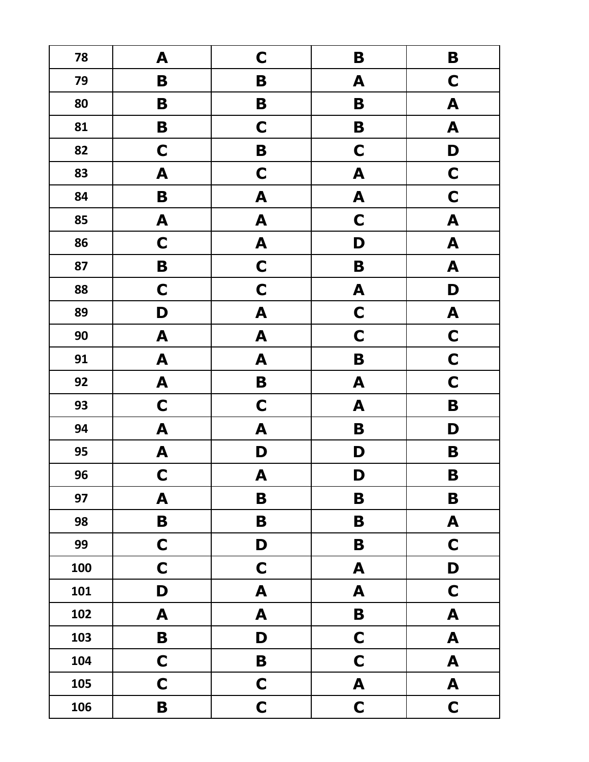| 78  | A                | $\mathbf C$      | B           | B                         |
|-----|------------------|------------------|-------------|---------------------------|
| 79  | B                | B                | A           | $\mathbf C$               |
| 80  | B                | B                | B           | A                         |
| 81  | B                | $\mathbf C$      | B           | A                         |
| 82  | $\mathbf C$      | B                | $\mathbf C$ | D                         |
| 83  | A                | $\mathbf C$      | A           | $\mathbf C$               |
| 84  | B                | A                | A           | $\mathbf C$               |
| 85  | A                | A                | $\mathbf C$ | A                         |
| 86  | $\mathbf C$      | $\boldsymbol{A}$ | D           | $\boldsymbol{A}$          |
| 87  | B                | $\mathbf C$      | B           | $\boldsymbol{A}$          |
| 88  | $\mathbf C$      | $\mathbf C$      | A           | D                         |
| 89  | D                | A                | $\mathbf C$ | A                         |
| 90  | A                | A                | $\mathbf C$ | $\mathbf C$               |
| 91  | $\boldsymbol{A}$ | A                | B           | $\mathbf C$               |
| 92  | A                | B                | A           | $\mathbf C$               |
| 93  | $\mathbf C$      | $\mathbf C$      | A           | B                         |
| 94  | A                | A                | B           | D                         |
| 95  | A                | D                | D           | B                         |
| 96  | $\mathbf C$      | $\boldsymbol{A}$ | D           | B                         |
| 97  | $\boldsymbol{A}$ | B                | B           | B                         |
| 98  | $\mathbf B$      | $\mathbf B$      | B           | $\mathbf{A}$              |
| 99  | $\mathbf C$      | D                | B           | $\mathbf C$               |
| 100 | $\mathbf C$      | $\mathbf C$      | A           | D                         |
| 101 | D                | $\blacktriangle$ | A           | $\mathbf C$               |
| 102 | $\boldsymbol{A}$ | A                | $\mathbf B$ | $\mathbf{A}$              |
| 103 | $\mathbf B$      | D                | $\mathbf C$ | $\mathbf{A}$              |
| 104 | $\mathbf C$      | $\mathbf B$      | $\mathbf C$ | $\mathbf{A}$              |
| 105 | $\mathbf C$      | $\mathbf C$      | A           | $\boldsymbol{\mathsf{A}}$ |
| 106 | $\mathbf B$      | $\mathbf C$      | $\mathbf C$ | $\mathbf C$               |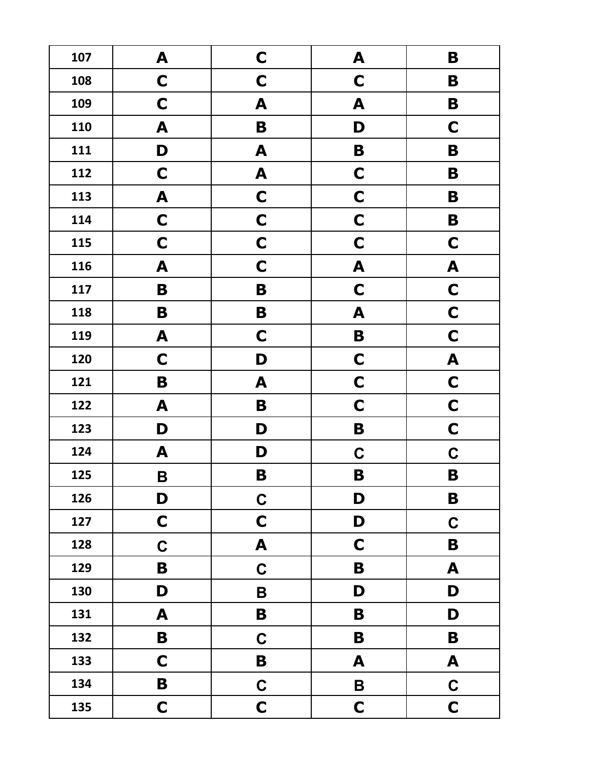| 107 | A                | C           | A           | B                |
|-----|------------------|-------------|-------------|------------------|
| 108 | $\mathbf C$      | C           | $\mathbf C$ | B                |
| 109 | C                | A           | A           | B                |
| 110 | A                | B           | D           | C                |
| 111 | D                | A           | B           | B                |
| 112 | $\mathbf C$      | A           | $\mathbf C$ | B                |
| 113 | A                | C           | $\mathbf C$ | B                |
| 114 | $\mathbf C$      | C           | $\mathbf C$ | B                |
| 115 | C                | $\mathbf C$ | $\mathbf C$ | $\mathbf C$      |
| 116 | A                | $\mathbf C$ | A           | A                |
| 117 | B                | B           | $\mathbf C$ | $\mathbf C$      |
| 118 | B                | B           | A           | $\mathbf C$      |
| 119 | A                | $\mathbf C$ | B           | $\mathbf C$      |
| 120 | $\mathbf C$      | D           | $\mathbf C$ | A                |
| 121 | B                | A           | $\mathbf C$ | $\mathbf C$      |
| 122 | A                | B           | $\mathbf C$ | $\mathbf C$      |
| 123 | D                | D           | B           | $\mathbf C$      |
| 124 | A                | D           | $\mathbf C$ | $\mathbf C$      |
| 125 | B                | B           | B           | B                |
| 126 | D                | $\mathbf C$ | D           | B                |
| 127 | $\mathbf C$      | $\mathbf C$ | D           | $\mathbf C$      |
| 128 | $\mathbf C$      | A           | $\mathbf C$ | B                |
| 129 | B                | $\mathbf C$ | $\mathbf B$ | $\blacktriangle$ |
| 130 | D                | $\mathbf B$ | D           | D                |
| 131 | $\blacktriangle$ | B           | $\mathbf B$ | D                |
| 132 | B                | $\mathbf C$ | B           | $\mathbf B$      |
| 133 | $\mathbf C$      | B           | A           | $\blacktriangle$ |
| 134 | B                | $\mathbf C$ | B           | $\mathbf C$      |
| 135 | $\mathbf C$      | $\mathbf C$ | $\mathbf C$ | $\mathbf C$      |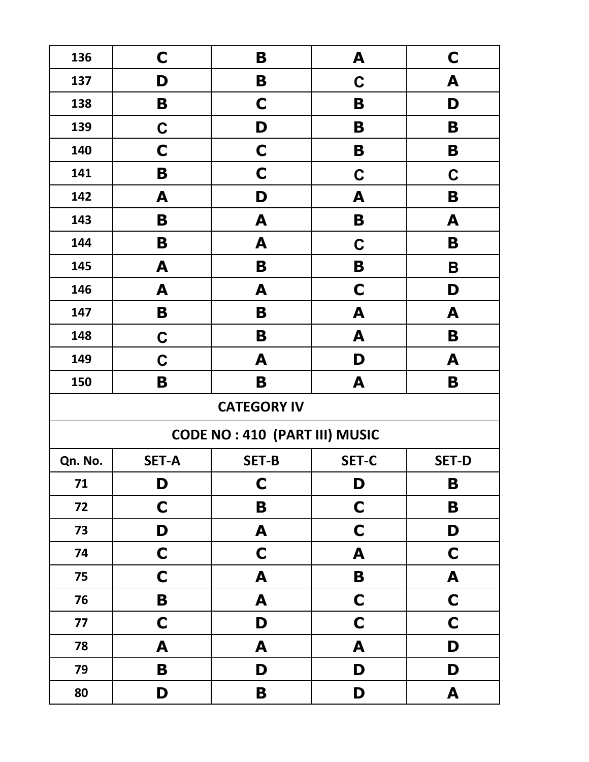| 136     | C            | B                                    | A            | C            |
|---------|--------------|--------------------------------------|--------------|--------------|
| 137     | D            | B                                    | $\mathbf C$  | A            |
| 138     | B            | C                                    | B            | D            |
| 139     | $\mathbf C$  | D                                    | B            | B            |
| 140     | C            | C                                    | B            | B            |
| 141     | B            | C                                    | $\mathbf C$  | $\mathbf C$  |
| 142     | A            | D                                    | A            | B            |
| 143     | B            | A                                    | B            | A            |
| 144     | B            | A                                    | C            | B            |
| 145     | A            | B                                    | B            | B            |
| 146     | A            | A                                    | C            | D            |
| 147     | B            | B                                    | A            | A            |
| 148     | $\mathbf C$  | B                                    | A            | B            |
| 149     | $\mathbf C$  | A                                    | D            | A            |
| 150     | B            | B                                    | A            | B            |
|         |              | <b>CATEGORY IV</b>                   |              |              |
|         |              | <b>CODE NO: 410 (PART III) MUSIC</b> |              |              |
| Qn. No. | <b>SET-A</b> | <b>SET-B</b>                         | <b>SET-C</b> | <b>SET-D</b> |
| 71      | D            | $\mathbf C$                          | D            | B            |
| 72      | $\mathbf C$  | B                                    | $\mathbf C$  | B            |
| 73      | D            |                                      |              | D            |
|         |              | A                                    | $\mathbf C$  |              |
| 74      | $\mathbf C$  | $\mathbf C$                          | A            | $\mathbf C$  |
| 75      | $\mathbf C$  | A                                    | B            | A            |
| 76      | B            | A                                    | $\mathbf C$  | $\mathbf C$  |
| 77      | $\mathbf C$  | D                                    | $\mathbf C$  | $\mathbf C$  |
| 78      | A            | A                                    | A            | D            |
| 79      | B            | D                                    | D            | D            |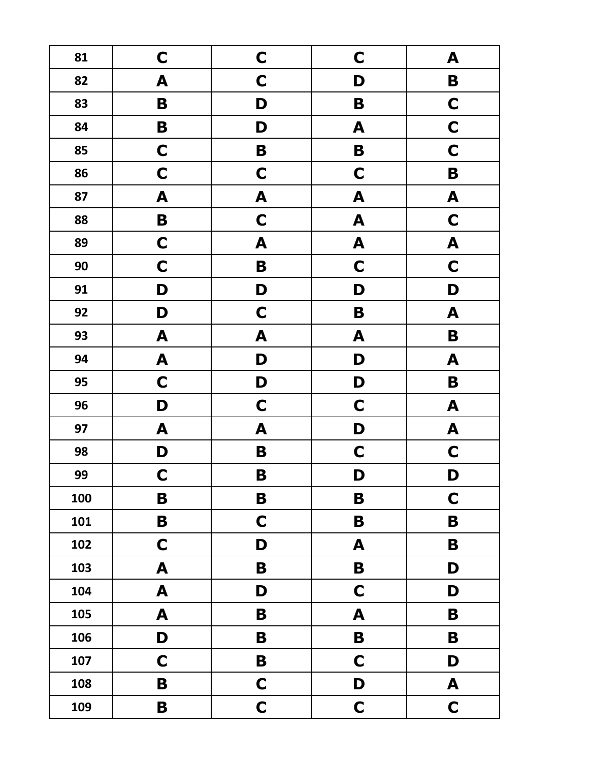| 81  | $\mathbf C$               | $\mathbf C$ | $\mathbf C$      | A                |
|-----|---------------------------|-------------|------------------|------------------|
| 82  | A                         | $\mathbf C$ | D                | B                |
| 83  | B                         | D           | B                | $\mathbf C$      |
| 84  | B                         | D           | A                | $\mathbf C$      |
| 85  | $\mathbf C$               | B           | B                | $\mathbf C$      |
| 86  | $\mathbf C$               | $\mathbf C$ | $\mathbf C$      | B                |
| 87  | A                         | A           | A                | A                |
| 88  | $\mathbf B$               | $\mathbf C$ | A                | $\mathbf C$      |
| 89  | $\mathbf C$               | A           | A                | A                |
| 90  | $\mathbf C$               | $\mathbf B$ | $\mathbf C$      | $\mathbf C$      |
| 91  | D                         | D           | D                | D                |
| 92  | D                         | $\mathbf C$ | B                | A                |
| 93  | A                         | A           | A                | B                |
| 94  | A                         | D           | D                | A                |
| 95  | $\mathbf C$               | D           | D                | B                |
| 96  | D                         | $\mathbf C$ | $\mathbf C$      | A                |
| 97  | A                         | A           | D                | $\boldsymbol{A}$ |
| 98  | D                         | B           | $\mathbf C$      | $\mathbf C$      |
| 99  | $\mathbf C$               | B           | D                | D                |
| 100 | B                         | B           | B                | $\mathbf C$      |
| 101 | B                         | $\mathbf C$ | B                | B                |
| 102 | $\mathbf C$               | D           | A                | B                |
| 103 | $\boldsymbol{\mathsf{A}}$ | B           | $\mathbf B$      | D                |
| 104 | $\boldsymbol{A}$          | D           | $\mathbf C$      | D                |
| 105 | $\boldsymbol{A}$          | B           | $\blacktriangle$ | $\mathbf B$      |
| 106 | D                         | B           | $\mathbf B$      | $\mathbf B$      |
| 107 | $\mathbf C$               | B           | $\mathbf C$      | D                |
| 108 | B                         | $\mathbf C$ | D                | A                |
| 109 | $\mathbf B$               | $\mathbf C$ | $\mathbf C$      | $\mathbf C$      |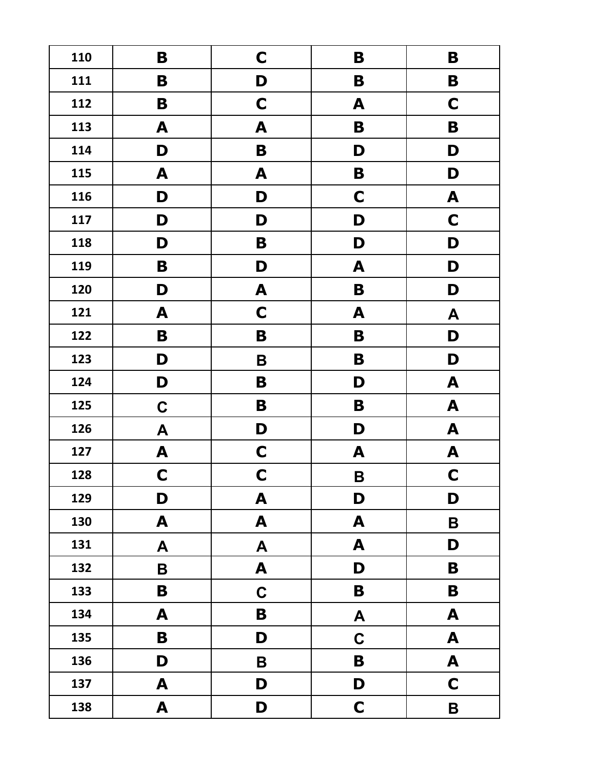| 110 | B                | C                | B           | B                |
|-----|------------------|------------------|-------------|------------------|
| 111 | B                | D                | B           | B                |
| 112 | B                | $\mathbf C$      | A           | C                |
| 113 | A                | A                | B           | B                |
| 114 | D                | B                | D           | D                |
| 115 | A                | A                | B           | D                |
| 116 | D                | D                | $\mathbf C$ | A                |
| 117 | D                | D                | D           | $\mathbf C$      |
| 118 | D                | B                | D           | D                |
| 119 | B                | D                | A           | D                |
| 120 | D                | A                | B           | D                |
| 121 | A                | $\mathbf C$      | A           | A                |
| 122 | B                | B                | B           | D                |
| 123 | D                | B                | B           | D                |
| 124 | D                | B                | D           | A                |
| 125 | $\mathbf C$      | B                | B           | A                |
| 126 | $\boldsymbol{A}$ | D                | D           | A                |
| 127 | A                | $\mathbf C$      | A           | A                |
| 128 | $\mathbf C$      | $\mathbf C$      | $\mathsf B$ | $\mathbf C$      |
| 129 | D                | A                | D           | D                |
| 130 | A                | A                | A           | B                |
| 131 | A                | $\boldsymbol{A}$ | A           | D                |
| 132 | $\mathbf B$      | A                | D           | B                |
| 133 | B                | $\mathbf C$      | B           | B                |
| 134 | A                | B                | A           | A                |
| 135 | B                | D                | $\mathbf C$ | $\blacktriangle$ |
| 136 | D                | $\mathbf B$      | B           | $\blacktriangle$ |
| 137 | A                | D                | D           | $\mathbf C$      |
| 138 | A                | D                | $\mathbf C$ | B                |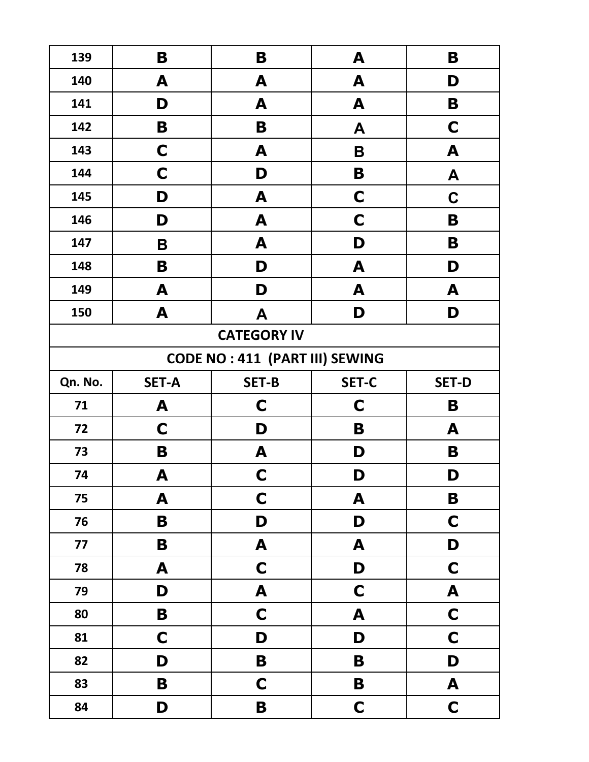| 139     | B                  | B                                     | A                | B                |  |  |  |
|---------|--------------------|---------------------------------------|------------------|------------------|--|--|--|
| 140     | A                  | A                                     | A                | D                |  |  |  |
| 141     | D                  | A                                     | A                | B                |  |  |  |
| 142     | B                  | B                                     | A                | C                |  |  |  |
| 143     | C                  | A                                     | Β                | A                |  |  |  |
| 144     | C                  | D                                     | B                | A                |  |  |  |
| 145     | D                  | A                                     | C                | C                |  |  |  |
| 146     | D                  | A                                     | C                | B                |  |  |  |
| 147     | B                  | A                                     | D                | B                |  |  |  |
| 148     | B                  | D                                     | A                | D                |  |  |  |
| 149     | A                  | D                                     | A                | A                |  |  |  |
| 150     | A                  | A                                     | D                | D                |  |  |  |
|         | <b>CATEGORY IV</b> |                                       |                  |                  |  |  |  |
|         |                    | <b>CODE NO: 411 (PART III) SEWING</b> |                  |                  |  |  |  |
| Qn. No. | <b>SET-A</b>       | <b>SET-B</b>                          | <b>SET-C</b>     | <b>SET-D</b>     |  |  |  |
| 71      | A                  | C                                     | C                | B                |  |  |  |
| 72      | C                  | D                                     | B                | A                |  |  |  |
| 73      | B                  | A                                     | D                | B                |  |  |  |
| 74      | A                  | $\mathbf C$                           | D                | D                |  |  |  |
| 75      | A                  | $\mathbf C$                           | A                | B                |  |  |  |
| 76      | B                  | D                                     | D                | $\mathbf C$      |  |  |  |
| 77      | B                  | $\blacktriangle$                      | A                | D                |  |  |  |
| 78      | $\boldsymbol{A}$   | $\mathbf C$                           | D                | $\mathbf C$      |  |  |  |
| 79      | D                  | $\boldsymbol{A}$                      | $\mathbf C$      | $\mathbf{A}$     |  |  |  |
| 80      | $\mathbf B$        | $\mathbf C$                           | $\blacktriangle$ | $\mathbf C$      |  |  |  |
| 81      | $\mathbf C$        | D                                     | D                | $\mathbf C$      |  |  |  |
| 82      | D                  | $\mathbf B$                           | B                | D                |  |  |  |
| 83      | $\mathbf B$        | $\mathbf C$                           | B                | $\boldsymbol{A}$ |  |  |  |
| 84      | D                  | $\mathbf B$                           | $\mathbf C$      | $\mathbf C$      |  |  |  |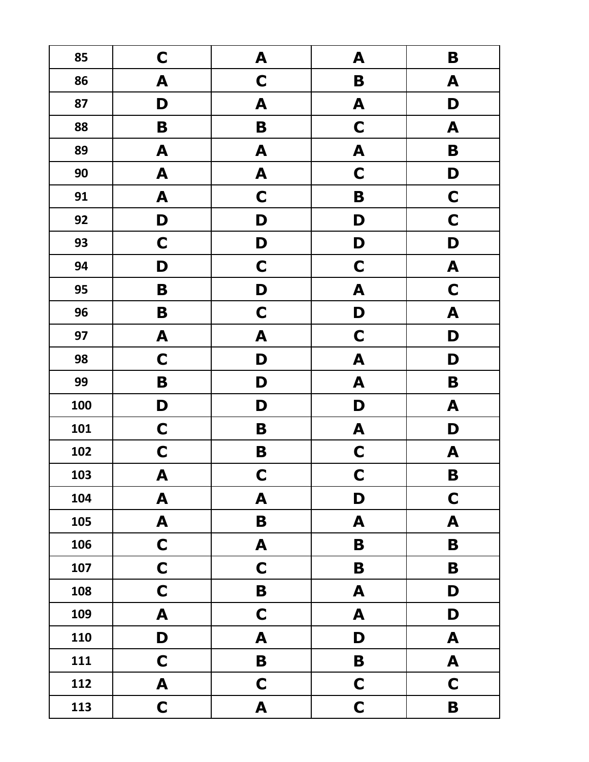| 85  | $\mathbf C$      | A                | A           | B                |
|-----|------------------|------------------|-------------|------------------|
| 86  | A                | $\mathbf C$      | B           | A                |
| 87  | D                | A                | A           | D                |
| 88  | B                | B                | $\mathbf C$ | A                |
| 89  | A                | A                | A           | B                |
| 90  | A                | A                | $\mathbf C$ | D                |
| 91  | A                | $\mathbf C$      | B           | $\mathbf C$      |
| 92  | D                | D                | D           | $\mathbf C$      |
| 93  | $\mathbf C$      | D                | D           | D                |
| 94  | D                | $\mathbf C$      | $\mathbf C$ | $\boldsymbol{A}$ |
| 95  | B                | D                | A           | $\mathbf C$      |
| 96  | B                | $\mathbf C$      | D           | A                |
| 97  | A                | A                | $\mathbf C$ | D                |
| 98  | $\mathbf C$      | D                | A           | D                |
| 99  | B                | D                | A           | $\mathbf B$      |
| 100 | D                | D                | D           | A                |
| 101 | $\mathbf C$      | B                | A           | D                |
| 102 | $\mathbf C$      | B                | $\mathbf C$ | A                |
| 103 | A                | $\mathbf C$      | $\mathbf C$ | B                |
| 104 | A                | A                | D           | $\mathbf C$      |
| 105 | A                | B                | A           | A                |
| 106 | $\mathbf C$      | A                | B           | B                |
| 107 | $\mathbf C$      | $\mathbf C$      | $\mathbf B$ | $\mathbf B$      |
| 108 | $\mathbf C$      | $\mathbf B$      | A           | D                |
| 109 | $\mathbf{A}$     | $\mathbf C$      | A           | D                |
| 110 | D                | A                | D           | $\blacktriangle$ |
| 111 | $\mathbf C$      | $\mathbf B$      | $\mathbf B$ | $\mathbf{A}$     |
| 112 | $\boldsymbol{A}$ | $\mathbf C$      | $\mathbf C$ | $\mathbf C$      |
| 113 | $\mathbf C$      | $\blacktriangle$ | $\mathbf C$ | $\mathbf B$      |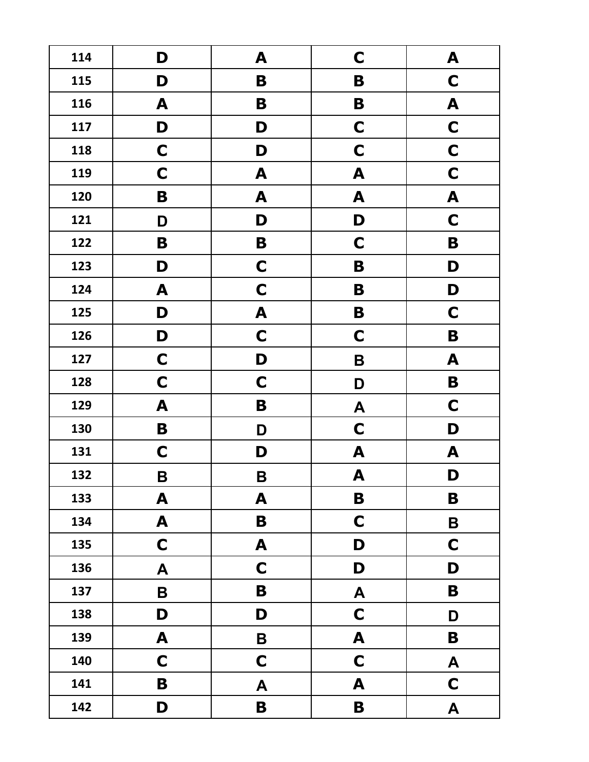| 114 | D                | A                | $\mathbf C$      | A                |
|-----|------------------|------------------|------------------|------------------|
| 115 | D                | B                | B                | C                |
| 116 | A                | B                | B                | A                |
| 117 | D                | D                | $\mathbf C$      | $\mathbf C$      |
| 118 | $\mathbf C$      | D                | $\mathbf C$      | $\mathbf C$      |
| 119 | $\mathbf C$      | A                | A                | $\mathbf C$      |
| 120 | B                | A                | A                | A                |
| 121 | D                | D                | D                | $\mathbf C$      |
| 122 | B                | B                | $\mathbf C$      | B                |
| 123 | D                | $\mathbf C$      | B                | D                |
| 124 | A                | $\mathbf C$      | B                | D                |
| 125 | D                | A                | B                | $\mathbf C$      |
| 126 | D                | $\mathbf C$      | $\mathbf C$      | B                |
| 127 | $\mathbf C$      | D                | B                | A                |
| 128 | $\mathbf C$      | $\mathbf C$      | D                | $\mathbf B$      |
| 129 | A                | B                | A                | $\mathbf C$      |
| 130 | B                | D                | $\mathbf C$      | D                |
| 131 | $\mathbf C$      | D                | A                | A                |
| 132 | $\mathbf B$      | B                | A                | D                |
| 133 | $\blacktriangle$ | A                | $\mathbf B$      | B                |
| 134 | A                | B                | $\mathbf C$      | $\mathbf B$      |
| 135 | $\mathbf C$      | A                | D                | $\mathbf C$      |
| 136 | $\boldsymbol{A}$ | $\mathbf C$      | D                | D                |
| 137 | $\mathsf B$      | B                | $\boldsymbol{A}$ | $\mathbf B$      |
| 138 | D                | D                | $\mathbf C$      | D                |
| 139 | A                | B                | A                | B                |
| 140 | $\mathbf C$      | $\mathbf C$      | $\mathbf C$      | $\blacktriangle$ |
| 141 | B                | $\blacktriangle$ | A                | $\mathbf C$      |
| 142 | D                | $\mathbf B$      | $\mathbf B$      | A                |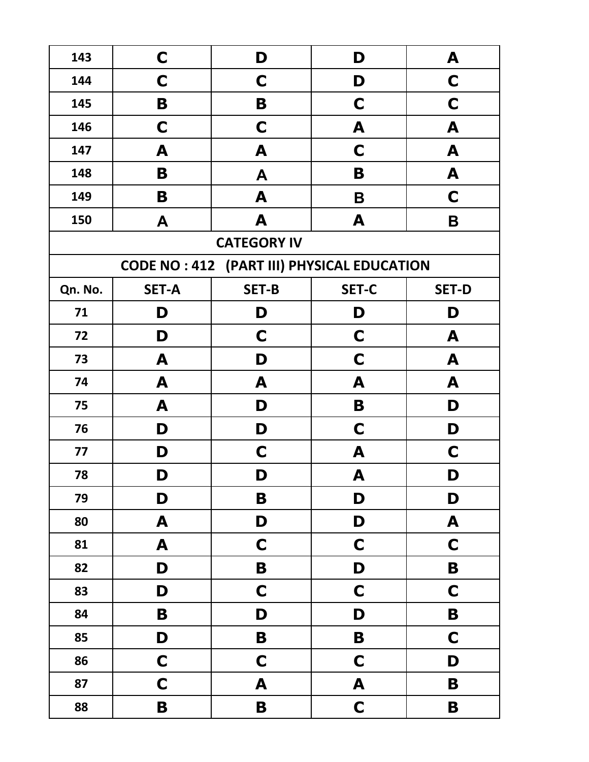| 143     | C                | D                                                 | D            | A                         |
|---------|------------------|---------------------------------------------------|--------------|---------------------------|
| 144     | C                | C                                                 | D            | C                         |
| 145     | B                | B                                                 | C            | C                         |
| 146     | C                | C                                                 | A            | A                         |
| 147     | A                | A                                                 | $\mathbf C$  | A                         |
| 148     | B                | A                                                 | B            | A                         |
| 149     | B                | A                                                 | B            | C                         |
| 150     | A                | A                                                 | A            | B                         |
|         |                  | <b>CATEGORY IV</b>                                |              |                           |
|         |                  | <b>CODE NO: 412 (PART III) PHYSICAL EDUCATION</b> |              |                           |
| Qn. No. | <b>SET-A</b>     | <b>SET-B</b>                                      | <b>SET-C</b> | <b>SET-D</b>              |
| 71      | D                | D                                                 | D            | D                         |
| 72      | D                | C                                                 | C            | A                         |
| 73      | A                | D                                                 | C            | A                         |
| 74      | A                | A                                                 | A            | A                         |
| 75      | A                | D                                                 | B            | D                         |
| 76      | D                | D                                                 | $\mathbf C$  | D                         |
| 77      | D                | $\mathbf C$                                       | A            | C                         |
| 78      | D                | D                                                 | A            | D                         |
| 79      | D                | B                                                 | D            | D                         |
| 80      | A                | D                                                 | D            | $\boldsymbol{\mathsf{A}}$ |
| 81      | $\boldsymbol{A}$ | $\mathbf C$                                       | $\mathbf C$  | $\mathbf C$               |
| 82      | D                | $\mathbf B$                                       | D            | $\mathbf B$               |
| 83      | D                | $\mathbf C$                                       | $\mathbf C$  | $\mathbf C$               |
| 84      | $\mathbf B$      | D                                                 | D            | $\mathbf B$               |
| 85      | D                | $\mathbf B$                                       | $\mathbf B$  | $\mathbf C$               |
| 86      | $\mathbf C$      | $\mathbf C$                                       | $\mathbf C$  | D                         |
| 87      | $\mathbf C$      | A                                                 | A            | $\mathbf B$               |
| 88      | B                | $\mathbf B$                                       | $\mathbf C$  | $\mathbf B$               |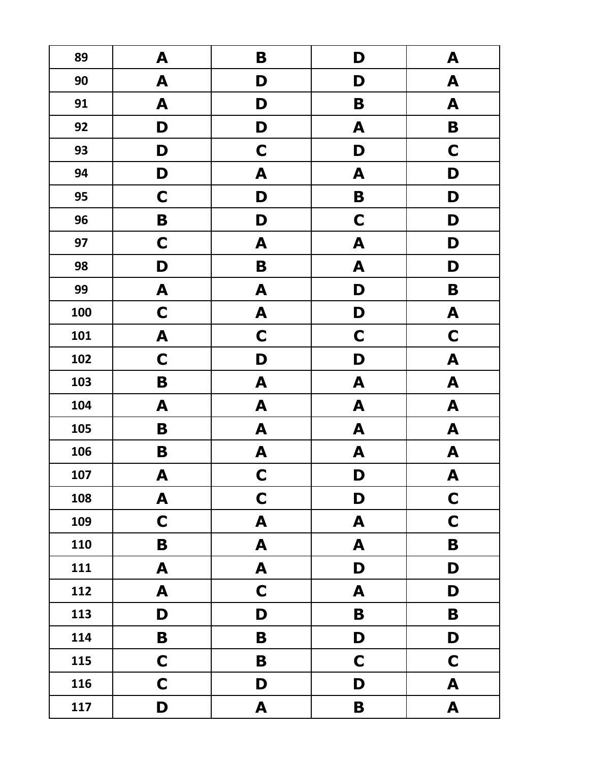| 89  | A                | B           | D           | A                         |
|-----|------------------|-------------|-------------|---------------------------|
| 90  | A                | D           | D           | A                         |
| 91  | A                | D           | B           | A                         |
| 92  | D                | D           | A           | B                         |
| 93  | D                | C           | D           | $\mathbf C$               |
| 94  | D                | A           | A           | D                         |
| 95  | $\mathbf C$      | D           | B           | D                         |
| 96  | B                | D           | $\mathbf C$ | D                         |
| 97  | $\mathbf C$      | A           | A           | D                         |
| 98  | D                | B           | A           | D                         |
| 99  | A                | A           | D           | B                         |
| 100 | $\mathbf C$      | A           | D           | A                         |
| 101 | A                | $\mathbf C$ | $\mathbf C$ | $\mathbf C$               |
| 102 | $\mathbf C$      | D           | D           | A                         |
| 103 | B                | A           | A           | A                         |
| 104 | A                | A           | A           | A                         |
| 105 | B                | A           | A           | A                         |
| 106 | B                | A           | A           | A                         |
| 107 | A                | $\mathbf C$ | D           | $\boldsymbol{\mathsf{A}}$ |
| 108 | A                | $\mathbf C$ | D           | $\mathbf C$               |
| 109 | $\mathbf C$      | A           | A           | $\mathbf C$               |
| 110 | B                | A           | A           | B                         |
| 111 | $\blacktriangle$ | A           | D           | D                         |
| 112 | $\blacktriangle$ | $\mathbf C$ | A           | D                         |
| 113 | D                | D           | $\mathbf B$ | $\mathbf B$               |
| 114 | B                | B           | D           | D                         |
| 115 | $\mathbf C$      | B           | $\mathbf C$ | $\mathbf C$               |
| 116 | $\mathbf C$      | D           | D           | A                         |
| 117 | D                | A           | B           | $\blacktriangle$          |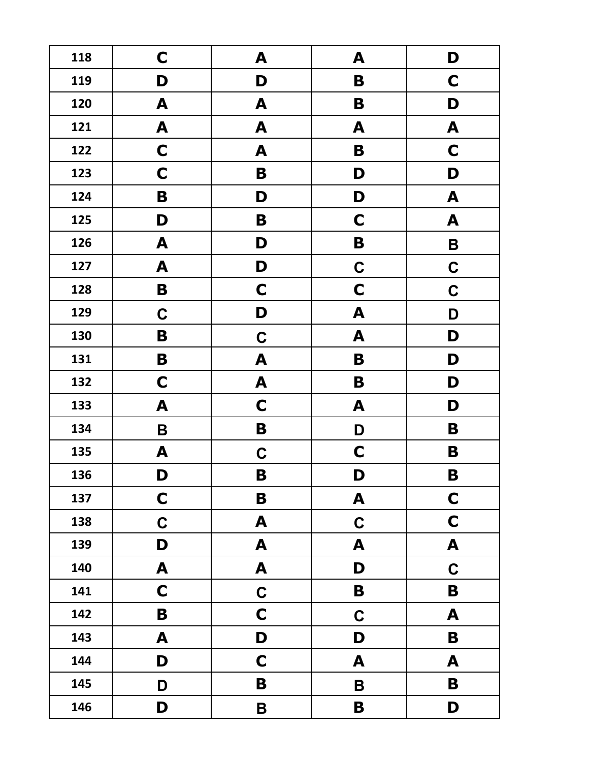| 118 | C                         | A           | A           | D                |
|-----|---------------------------|-------------|-------------|------------------|
| 119 | D                         | D           | B           | C                |
| 120 | A                         | A           | B           | D                |
| 121 | A                         | A           | A           | A                |
| 122 | $\mathbf C$               | A           | B           | C                |
| 123 | C                         | B           | D           | D                |
| 124 | B                         | D           | D           | A                |
| 125 | D                         | B           | $\mathbf C$ | A                |
| 126 | A                         | D           | B           | B                |
| 127 | A                         | D           | $\mathbf C$ | $\mathbf C$      |
| 128 | B                         | $\mathbf C$ | $\mathbf C$ | $\mathbf C$      |
| 129 | $\mathbf C$               | D           | A           | D                |
| 130 | B                         | $\mathbf C$ | A           | D                |
| 131 | B                         | A           | B           | D                |
| 132 | $\mathbf C$               | A           | B           | D                |
| 133 | A                         | $\mathbf C$ | A           | D                |
| 134 | B                         | B           | D           | B                |
| 135 | A                         | C           | $\mathbf C$ | B                |
| 136 | D                         | B           | D           | B                |
| 137 | $\mathbf C$               | $\mathbf B$ | A           | $\mathbf C$      |
| 138 | $\mathbf C$               | A           | $\mathbf C$ | $\mathbf C$      |
| 139 | D                         | A           | A           | $\blacktriangle$ |
| 140 | $\boldsymbol{\mathsf{A}}$ | A           | D           | $\mathbf C$      |
| 141 | $\mathbf C$               | $\mathbf C$ | B           | B                |
| 142 | $\mathbf B$               | $\mathbf C$ | $\mathbf C$ | $\blacktriangle$ |
| 143 | $\blacktriangle$          | D           | D           | $\mathbf B$      |
| 144 | D                         | $\mathbf C$ | A           | $\blacktriangle$ |
| 145 | D                         | B           | $\mathsf B$ | B                |
| 146 | D                         | B           | B           | D                |